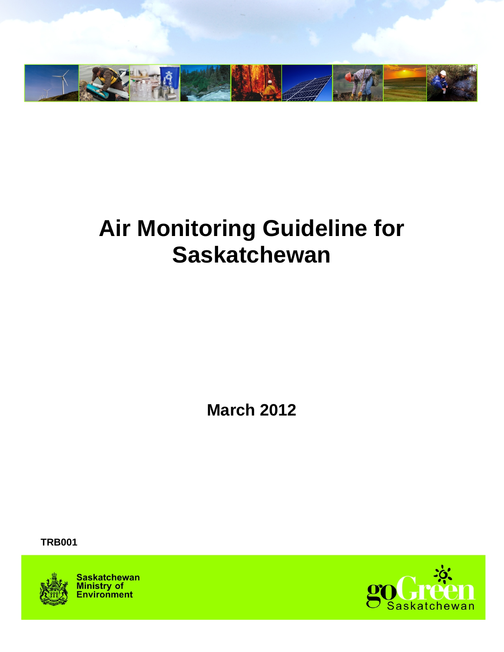

# **Air Monitoring Guideline for Saskatchewan**

**March 2012**

 **TRB001**



**Saskatchewan Ministry of**<br>**Environment** 

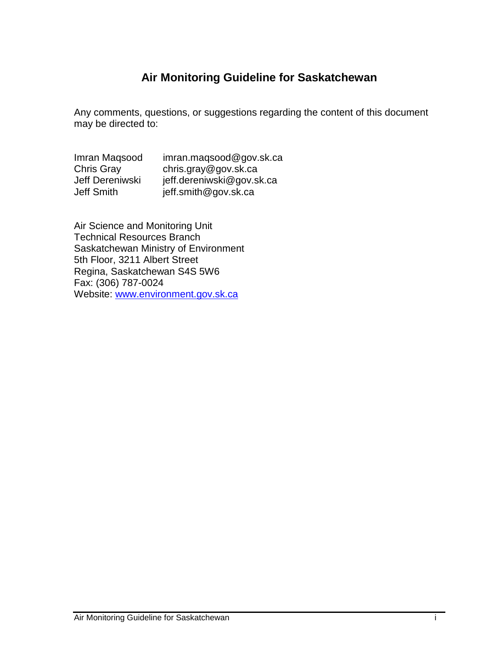# **Air Monitoring Guideline for Saskatchewan**

Any comments, questions, or suggestions regarding the content of this document may be directed to:

| Imran Magsood   | imran.maqsood@gov.sk.ca   |
|-----------------|---------------------------|
| Chris Gray      | chris.gray@gov.sk.ca      |
| Jeff Dereniwski | jeff.dereniwski@gov.sk.ca |
| Jeff Smith      | jeff.smith@gov.sk.ca      |

Air Science and Monitoring Unit Technical Resources Branch Saskatchewan Ministry of Environment 5th Floor, 3211 Albert Street Regina, Saskatchewan S4S 5W6 Fax: (306) 787-0024 Website: [www.environment.gov.sk.ca](http://www.environment.gov.sk.ca/)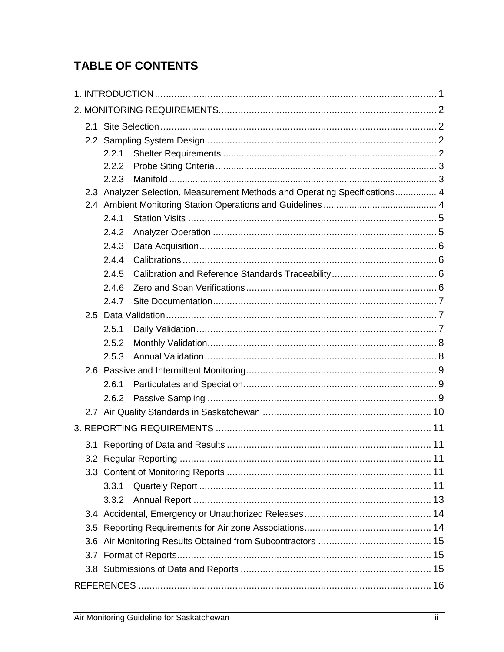# **TABLE OF CONTENTS**

| 2.1 |       |                                                                            |  |
|-----|-------|----------------------------------------------------------------------------|--|
|     |       |                                                                            |  |
|     | 2.2.1 |                                                                            |  |
|     | 2.2.2 |                                                                            |  |
|     | 2.2.3 |                                                                            |  |
|     |       | 2.3 Analyzer Selection, Measurement Methods and Operating Specifications 4 |  |
|     |       |                                                                            |  |
|     | 2.4.1 |                                                                            |  |
|     | 2.4.2 |                                                                            |  |
|     | 2.4.3 |                                                                            |  |
|     | 2.4.4 |                                                                            |  |
|     | 2.4.5 |                                                                            |  |
|     | 2.4.6 |                                                                            |  |
|     | 2.4.7 |                                                                            |  |
|     |       |                                                                            |  |
|     | 2.5.1 |                                                                            |  |
|     | 2.5.2 |                                                                            |  |
|     | 2.5.3 |                                                                            |  |
|     |       |                                                                            |  |
|     | 2.6.1 |                                                                            |  |
|     | 2.6.2 |                                                                            |  |
|     |       |                                                                            |  |
|     |       |                                                                            |  |
|     |       |                                                                            |  |
|     |       |                                                                            |  |
|     |       |                                                                            |  |
|     | 3.3.1 |                                                                            |  |
|     |       |                                                                            |  |
|     |       |                                                                            |  |
|     |       |                                                                            |  |
|     |       |                                                                            |  |
|     |       |                                                                            |  |
|     |       |                                                                            |  |
|     |       |                                                                            |  |
|     |       |                                                                            |  |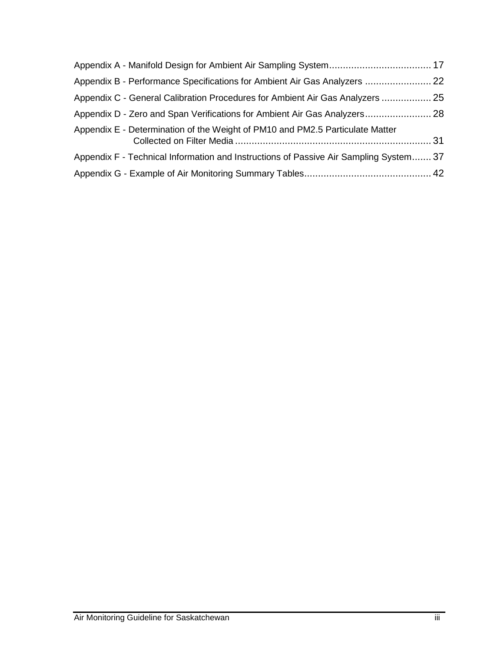| Appendix B - Performance Specifications for Ambient Air Gas Analyzers  22             |  |
|---------------------------------------------------------------------------------------|--|
| Appendix C - General Calibration Procedures for Ambient Air Gas Analyzers  25         |  |
| Appendix D - Zero and Span Verifications for Ambient Air Gas Analyzers 28             |  |
| Appendix E - Determination of the Weight of PM10 and PM2.5 Particulate Matter         |  |
| Appendix F - Technical Information and Instructions of Passive Air Sampling System 37 |  |
|                                                                                       |  |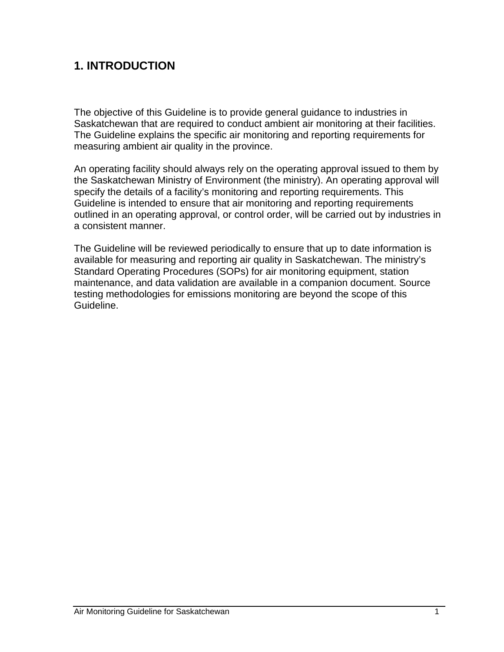# <span id="page-4-0"></span>**1. INTRODUCTION**

The objective of this Guideline is to provide general guidance to industries in Saskatchewan that are required to conduct ambient air monitoring at their facilities. The Guideline explains the specific air monitoring and reporting requirements for measuring ambient air quality in the province.

An operating facility should always rely on the operating approval issued to them by the Saskatchewan Ministry of Environment (the ministry). An operating approval will specify the details of a facility's monitoring and reporting requirements. This Guideline is intended to ensure that air monitoring and reporting requirements outlined in an operating approval, or control order, will be carried out by industries in a consistent manner.

The Guideline will be reviewed periodically to ensure that up to date information is available for measuring and reporting air quality in Saskatchewan. The ministry's Standard Operating Procedures (SOPs) for air monitoring equipment, station maintenance, and data validation are available in a companion document. Source testing methodologies for emissions monitoring are beyond the scope of this Guideline.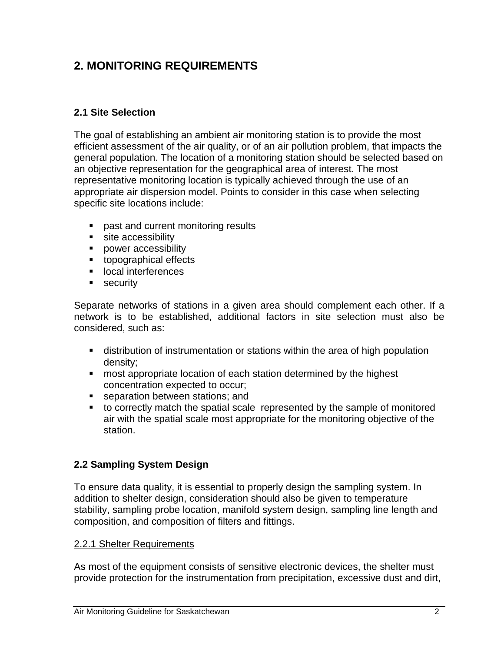# <span id="page-5-0"></span>**2. MONITORING REQUIREMENTS**

#### <span id="page-5-1"></span>**2.1 Site Selection**

The goal of establishing an ambient air monitoring station is to provide the most efficient assessment of the air quality, or of an air pollution problem, that impacts the general population. The location of a monitoring station should be selected based on an objective representation for the geographical area of interest. The most representative monitoring location is typically achieved through the use of an appropriate air dispersion model. Points to consider in this case when selecting specific site locations include:

- **past and current monitoring results**
- site accessibility
- **power accessibility**
- **topographical effects**
- **Interferences**
- **security**

Separate networks of stations in a given area should complement each other. If a network is to be established, additional factors in site selection must also be considered, such as:

- distribution of instrumentation or stations within the area of high population density;
- **namble 1** most appropriate location of each station determined by the highest concentration expected to occur;
- **separation between stations; and**
- to correctly match the spatial scale represented by the sample of monitored air with the spatial scale most appropriate for the monitoring objective of the station.

# <span id="page-5-2"></span>**2.2 Sampling System Design**

To ensure data quality, it is essential to properly design the sampling system. In addition to shelter design, consideration should also be given to temperature stability, sampling probe location, manifold system design, sampling line length and composition, and composition of filters and fittings.

#### <span id="page-5-3"></span>2.2.1 Shelter Requirements

As most of the equipment consists of sensitive electronic devices, the shelter must provide protection for the instrumentation from precipitation, excessive dust and dirt,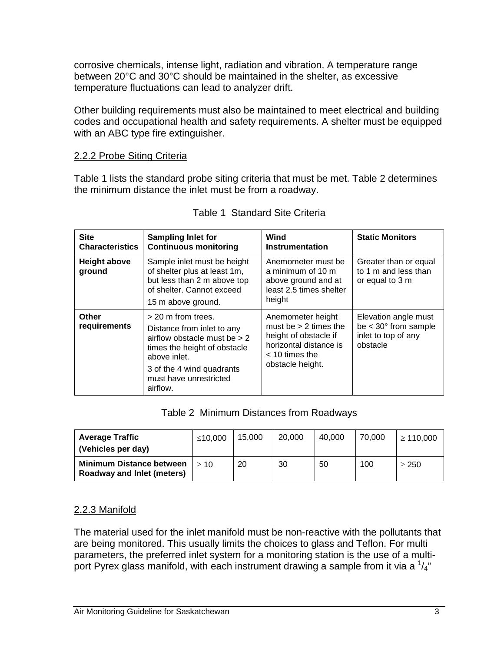corrosive chemicals, intense light, radiation and vibration. A temperature range between 20°C and 30°C should be maintained in the shelter, as excessive temperature fluctuations can lead to analyzer drift.

Other building requirements must also be maintained to meet electrical and building codes and occupational health and safety requirements. A shelter must be equipped with an ABC type fire extinguisher.

#### <span id="page-6-0"></span>2.2.2 Probe Siting Criteria

Table 1 lists the standard probe siting criteria that must be met. Table 2 determines the minimum distance the inlet must be from a roadway.

| <b>Site</b><br><b>Characteristics</b> | <b>Sampling Inlet for</b><br><b>Continuous monitoring</b>                                                                                                                                             | Wind<br>Instrumentation                                                                                                                 | <b>Static Monitors</b>                                                                      |
|---------------------------------------|-------------------------------------------------------------------------------------------------------------------------------------------------------------------------------------------------------|-----------------------------------------------------------------------------------------------------------------------------------------|---------------------------------------------------------------------------------------------|
| <b>Height above</b><br>ground         | Sample inlet must be height<br>of shelter plus at least 1m,<br>but less than 2 m above top<br>of shelter. Cannot exceed<br>15 m above ground.                                                         | Anemometer must be<br>a minimum of 10 m<br>above ground and at<br>least 2.5 times shelter<br>height                                     | Greater than or equal<br>to 1 m and less than<br>or equal to 3 m                            |
| <b>Other</b><br>requirements          | > 20 m from trees.<br>Distance from inlet to any<br>airflow obstacle must be $> 2$<br>times the height of obstacle<br>above inlet.<br>3 of the 4 wind quadrants<br>must have unrestricted<br>airflow. | Anemometer height<br>must be $> 2$ times the<br>height of obstacle if<br>horizontal distance is<br>$<$ 10 times the<br>obstacle height. | Elevation angle must<br>be $<$ 30 $^{\circ}$ from sample<br>inlet to top of any<br>obstacle |

Table 2 Minimum Distances from Roadways

| <b>Average Traffic</b>                                        | ≤10,000 | 15.000 | 20,000 | 40.000 | 70,000 | $\geq 110.000$ |
|---------------------------------------------------------------|---------|--------|--------|--------|--------|----------------|
| (Vehicles per day)                                            |         |        |        |        |        |                |
| <b>Minimum Distance between</b><br>Roadway and Inlet (meters) | >10     | 20     | 30     | 50     | 100    | > 250          |

#### <span id="page-6-1"></span>2.2.3 Manifold

The material used for the inlet manifold must be non-reactive with the pollutants that are being monitored. This usually limits the choices to glass and Teflon. For multi parameters, the preferred inlet system for a monitoring station is the use of a multiport Pyrex glass manifold, with each instrument drawing a sample from it via a  $\frac{1}{4}$ "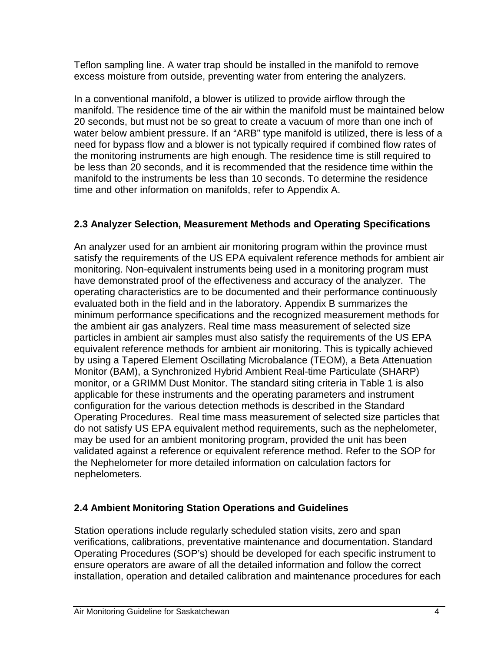Teflon sampling line. A water trap should be installed in the manifold to remove excess moisture from outside, preventing water from entering the analyzers.

In a conventional manifold, a blower is utilized to provide airflow through the manifold. The residence time of the air within the manifold must be maintained below 20 seconds, but must not be so great to create a vacuum of more than one inch of water below ambient pressure. If an "ARB" type manifold is utilized, there is less of a need for bypass flow and a blower is not typically required if combined flow rates of the monitoring instruments are high enough. The residence time is still required to be less than 20 seconds, and it is recommended that the residence time within the manifold to the instruments be less than 10 seconds. To determine the residence time and other information on manifolds, refer to Appendix A.

# <span id="page-7-0"></span>**2.3 Analyzer Selection, Measurement Methods and Operating Specifications**

An analyzer used for an ambient air monitoring program within the province must satisfy the requirements of the US EPA equivalent reference methods for ambient air monitoring. Non-equivalent instruments being used in a monitoring program must have demonstrated proof of the effectiveness and accuracy of the analyzer. The operating characteristics are to be documented and their performance continuously evaluated both in the field and in the laboratory. Appendix B summarizes the minimum performance specifications and the recognized measurement methods for the ambient air gas analyzers. Real time mass measurement of selected size particles in ambient air samples must also satisfy the requirements of the US EPA equivalent reference methods for ambient air monitoring. This is typically achieved by using a Tapered Element Oscillating Microbalance (TEOM), a Beta Attenuation Monitor (BAM), a Synchronized Hybrid Ambient Real-time Particulate (SHARP) monitor, or a GRIMM Dust Monitor. The standard siting criteria in Table 1 is also applicable for these instruments and the operating parameters and instrument configuration for the various detection methods is described in the Standard Operating Procedures. Real time mass measurement of selected size particles that do not satisfy US EPA equivalent method requirements, such as the nephelometer, may be used for an ambient monitoring program, provided the unit has been validated against a reference or equivalent reference method. Refer to the SOP for the Nephelometer for more detailed information on calculation factors for nephelometers.

#### <span id="page-7-1"></span>**2.4 Ambient Monitoring Station Operations and Guidelines**

Station operations include regularly scheduled station visits, zero and span verifications, calibrations, preventative maintenance and documentation. Standard Operating Procedures (SOP's) should be developed for each specific instrument to ensure operators are aware of all the detailed information and follow the correct installation, operation and detailed calibration and maintenance procedures for each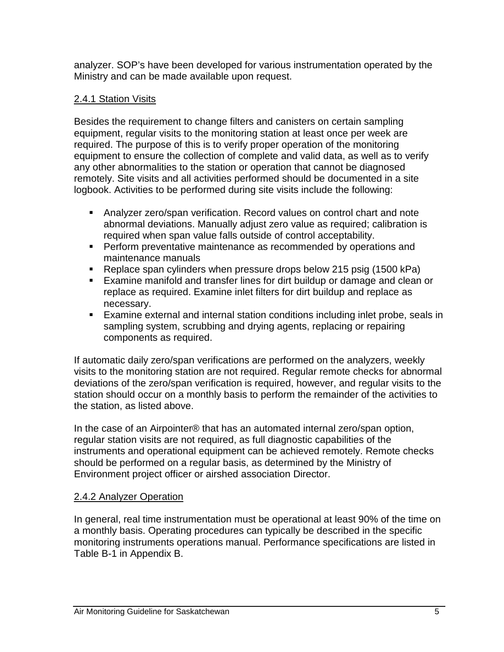analyzer. SOP's have been developed for various instrumentation operated by the Ministry and can be made available upon request.

#### <span id="page-8-0"></span>2.4.1 Station Visits

Besides the requirement to change filters and canisters on certain sampling equipment, regular visits to the monitoring station at least once per week are required. The purpose of this is to verify proper operation of the monitoring equipment to ensure the collection of complete and valid data, as well as to verify any other abnormalities to the station or operation that cannot be diagnosed remotely. Site visits and all activities performed should be documented in a site logbook. Activities to be performed during site visits include the following:

- Analyzer zero/span verification. Record values on control chart and note abnormal deviations. Manually adjust zero value as required; calibration is required when span value falls outside of control acceptability.
- **Perform preventative maintenance as recommended by operations and** maintenance manuals
- Replace span cylinders when pressure drops below 215 psig (1500 kPa)
- Examine manifold and transfer lines for dirt buildup or damage and clean or replace as required. Examine inlet filters for dirt buildup and replace as necessary.
- Examine external and internal station conditions including inlet probe, seals in sampling system, scrubbing and drying agents, replacing or repairing components as required.

If automatic daily zero/span verifications are performed on the analyzers, weekly visits to the monitoring station are not required. Regular remote checks for abnormal deviations of the zero/span verification is required, however, and regular visits to the station should occur on a monthly basis to perform the remainder of the activities to the station, as listed above.

In the case of an Airpointer® that has an automated internal zero/span option, regular station visits are not required, as full diagnostic capabilities of the instruments and operational equipment can be achieved remotely. Remote checks should be performed on a regular basis, as determined by the Ministry of Environment project officer or airshed association Director.

#### <span id="page-8-1"></span>2.4.2 Analyzer Operation

In general, real time instrumentation must be operational at least 90% of the time on a monthly basis. Operating procedures can typically be described in the specific monitoring instruments operations manual. Performance specifications are listed in Table B-1 in Appendix B.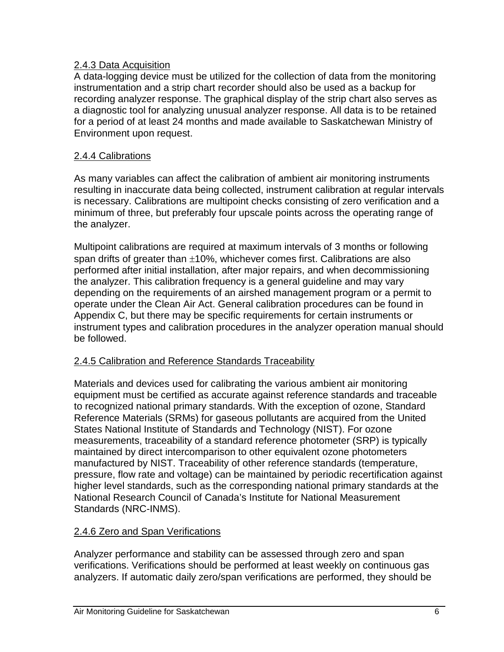#### <span id="page-9-0"></span>2.4.3 Data Acquisition

A data-logging device must be utilized for the collection of data from the monitoring instrumentation and a strip chart recorder should also be used as a backup for recording analyzer response. The graphical display of the strip chart also serves as a diagnostic tool for analyzing unusual analyzer response. All data is to be retained for a period of at least 24 months and made available to Saskatchewan Ministry of Environment upon request.

#### <span id="page-9-1"></span>2.4.4 Calibrations

As many variables can affect the calibration of ambient air monitoring instruments resulting in inaccurate data being collected, instrument calibration at regular intervals is necessary. Calibrations are multipoint checks consisting of zero verification and a minimum of three, but preferably four upscale points across the operating range of the analyzer.

Multipoint calibrations are required at maximum intervals of 3 months or following span drifts of greater than  $\pm 10\%$ , whichever comes first. Calibrations are also performed after initial installation, after major repairs, and when decommissioning the analyzer. This calibration frequency is a general guideline and may vary depending on the requirements of an airshed management program or a permit to operate under the Clean Air Act. General calibration procedures can be found in Appendix C, but there may be specific requirements for certain instruments or instrument types and calibration procedures in the analyzer operation manual should be followed.

#### <span id="page-9-2"></span>2.4.5 Calibration and Reference Standards Traceability

Materials and devices used for calibrating the various ambient air monitoring equipment must be certified as accurate against reference standards and traceable to recognized national primary standards. With the exception of ozone, Standard Reference Materials (SRMs) for gaseous pollutants are acquired from the United States National Institute of Standards and Technology (NIST). For ozone measurements, traceability of a standard reference photometer (SRP) is typically maintained by direct intercomparison to other equivalent ozone photometers manufactured by NIST. Traceability of other reference standards (temperature, pressure, flow rate and voltage) can be maintained by periodic recertification against higher level standards, such as the corresponding national primary standards at the National Research Council of Canada's Institute for National Measurement Standards (NRC-INMS).

#### <span id="page-9-3"></span>2.4.6 Zero and Span Verifications

Analyzer performance and stability can be assessed through zero and span verifications. Verifications should be performed at least weekly on continuous gas analyzers. If automatic daily zero/span verifications are performed, they should be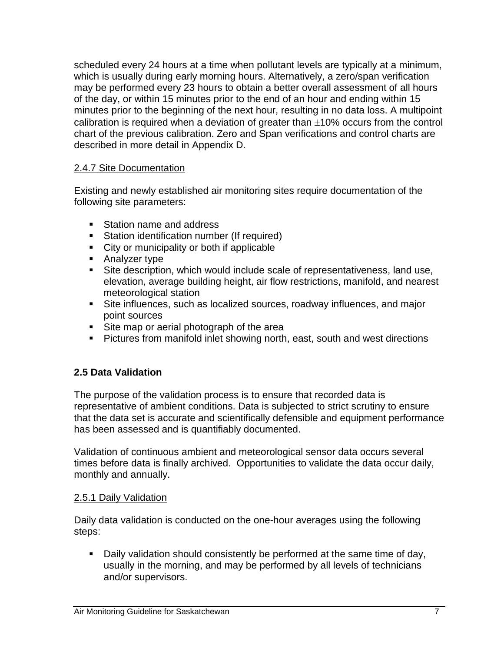scheduled every 24 hours at a time when pollutant levels are typically at a minimum, which is usually during early morning hours. Alternatively, a zero/span verification may be performed every 23 hours to obtain a better overall assessment of all hours of the day, or within 15 minutes prior to the end of an hour and ending within 15 minutes prior to the beginning of the next hour, resulting in no data loss. A multipoint calibration is required when a deviation of greater than  $\pm 10\%$  occurs from the control chart of the previous calibration. Zero and Span verifications and control charts are described in more detail in Appendix D.

#### <span id="page-10-0"></span>2.4.7 Site Documentation

Existing and newly established air monitoring sites require documentation of the following site parameters:

- Station name and address
- **Station identification number (If required)**
- City or municipality or both if applicable
- **Analyzer type**
- Site description, which would include scale of representativeness, land use, elevation, average building height, air flow restrictions, manifold, and nearest meteorological station
- Site influences, such as localized sources, roadway influences, and major point sources
- Site map or aerial photograph of the area
- **Pictures from manifold inlet showing north, east, south and west directions**

#### <span id="page-10-1"></span>**2.5 Data Validation**

The purpose of the validation process is to ensure that recorded data is representative of ambient conditions. Data is subjected to strict scrutiny to ensure that the data set is accurate and scientifically defensible and equipment performance has been assessed and is quantifiably documented.

Validation of continuous ambient and meteorological sensor data occurs several times before data is finally archived. Opportunities to validate the data occur daily, monthly and annually.

#### <span id="page-10-2"></span>2.5.1 Daily Validation

Daily data validation is conducted on the one-hour averages using the following steps:

 Daily validation should consistently be performed at the same time of day, usually in the morning, and may be performed by all levels of technicians and/or supervisors.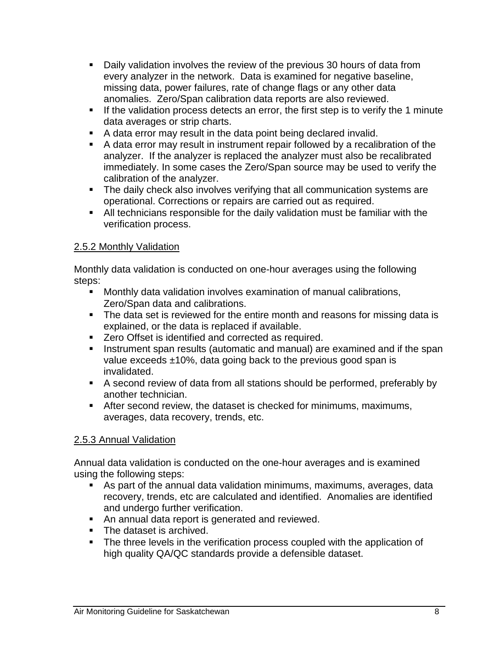- Daily validation involves the review of the previous 30 hours of data from every analyzer in the network. Data is examined for negative baseline, missing data, power failures, rate of change flags or any other data anomalies. Zero/Span calibration data reports are also reviewed.
- If the validation process detects an error, the first step is to verify the 1 minute data averages or strip charts.
- A data error may result in the data point being declared invalid.
- A data error may result in instrument repair followed by a recalibration of the analyzer. If the analyzer is replaced the analyzer must also be recalibrated immediately. In some cases the Zero/Span source may be used to verify the calibration of the analyzer.
- The daily check also involves verifying that all communication systems are operational. Corrections or repairs are carried out as required.
- All technicians responsible for the daily validation must be familiar with the verification process.

#### <span id="page-11-0"></span>2.5.2 Monthly Validation

Monthly data validation is conducted on one-hour averages using the following steps:

- Monthly data validation involves examination of manual calibrations, Zero/Span data and calibrations.
- The data set is reviewed for the entire month and reasons for missing data is explained, or the data is replaced if available.
- **EXE** Zero Offset is identified and corrected as required.
- **I.** Instrument span results (automatic and manual) are examined and if the span value exceeds ±10%, data going back to the previous good span is invalidated.
- A second review of data from all stations should be performed, preferably by another technician.
- After second review, the dataset is checked for minimums, maximums, averages, data recovery, trends, etc.

#### <span id="page-11-1"></span>2.5.3 Annual Validation

Annual data validation is conducted on the one-hour averages and is examined using the following steps:

- As part of the annual data validation minimums, maximums, averages, data recovery, trends, etc are calculated and identified. Anomalies are identified and undergo further verification.
- **An annual data report is generated and reviewed.**
- **The dataset is archived.**
- The three levels in the verification process coupled with the application of high quality QA/QC standards provide a defensible dataset.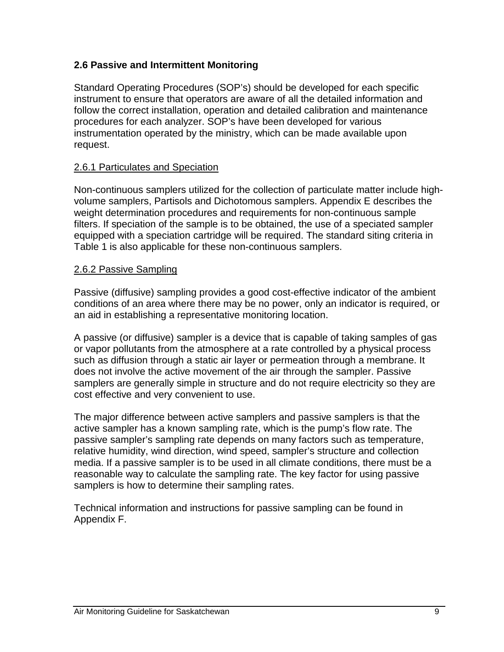#### <span id="page-12-0"></span>**2.6 Passive and Intermittent Monitoring**

Standard Operating Procedures (SOP's) should be developed for each specific instrument to ensure that operators are aware of all the detailed information and follow the correct installation, operation and detailed calibration and maintenance procedures for each analyzer. SOP's have been developed for various instrumentation operated by the ministry, which can be made available upon request.

#### <span id="page-12-1"></span>2.6.1 Particulates and Speciation

Non-continuous samplers utilized for the collection of particulate matter include highvolume samplers, Partisols and Dichotomous samplers. Appendix E describes the weight determination procedures and requirements for non-continuous sample filters. If speciation of the sample is to be obtained, the use of a speciated sampler equipped with a speciation cartridge will be required. The standard siting criteria in Table 1 is also applicable for these non-continuous samplers.

#### <span id="page-12-2"></span>2.6.2 Passive Sampling

Passive (diffusive) sampling provides a good cost-effective indicator of the ambient conditions of an area where there may be no power, only an indicator is required, or an aid in establishing a representative monitoring location.

A passive (or diffusive) sampler is a device that is capable of taking samples of gas or vapor pollutants from the atmosphere at a rate controlled by a physical process such as diffusion through a static air layer or permeation through a membrane. It does not involve the active movement of the air through the sampler. Passive samplers are generally simple in structure and do not require electricity so they are cost effective and very convenient to use.

The major difference between active samplers and passive samplers is that the active sampler has a known sampling rate, which is the pump's flow rate. The passive sampler's sampling rate depends on many factors such as temperature, relative humidity, wind direction, wind speed, sampler's structure and collection media. If a passive sampler is to be used in all climate conditions, there must be a reasonable way to calculate the sampling rate. The key factor for using passive samplers is how to determine their sampling rates.

Technical information and instructions for passive sampling can be found in Appendix F.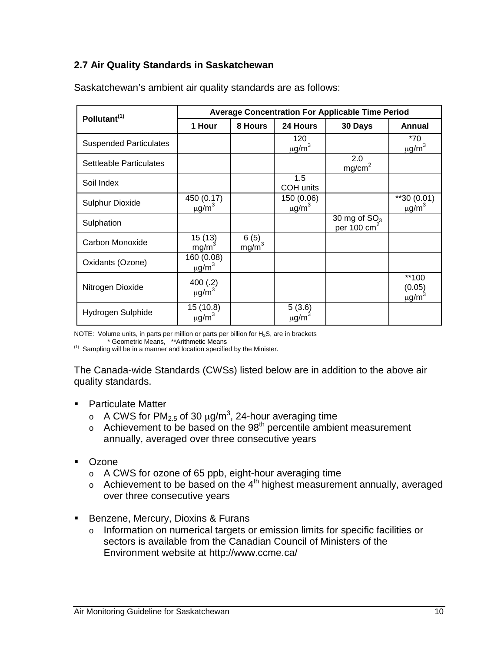#### <span id="page-13-0"></span>**2.7 Air Quality Standards in Saskatchewan**

| Pollutant <sup>(1)</sup>       | <b>Average Concentration For Applicable Time Period</b> |                             |                                      |                                 |                                           |  |
|--------------------------------|---------------------------------------------------------|-----------------------------|--------------------------------------|---------------------------------|-------------------------------------------|--|
|                                | 1 Hour                                                  | 8 Hours                     | 24 Hours                             | 30 Days                         | Annual                                    |  |
| <b>Suspended Particulates</b>  |                                                         |                             | 120<br>$\mu$ g/m <sup>3</sup>        |                                 | $*70$<br>$\mu$ g/m <sup>3</sup>           |  |
| <b>Settleable Particulates</b> |                                                         |                             |                                      | 2.0<br>mg/cm <sup>2</sup>       |                                           |  |
| Soil Index                     |                                                         |                             | 1.5<br>COH units                     |                                 |                                           |  |
| <b>Sulphur Dioxide</b>         | 450 (0.17)<br>$\mu$ g/m <sup>3</sup>                    |                             | 150 (0.06)<br>$\mu$ g/m <sup>3</sup> |                                 | $*$ 30 (0.01)<br>$\mu$ g/m <sup>3</sup>   |  |
| Sulphation                     |                                                         |                             |                                      | 30 mg of $SO3$<br>per 100 $cm2$ |                                           |  |
| Carbon Monoxide                | 15 (13) $mg/m^3$                                        | $6(5)$<br>mg/m <sup>3</sup> |                                      |                                 |                                           |  |
| Oxidants (Ozone)               | 160 (0.08)<br>$\mu$ g/m <sup>3</sup>                    |                             |                                      |                                 |                                           |  |
| Nitrogen Dioxide               | 400(.2)<br>$\mu$ g/m <sup>3</sup>                       |                             |                                      |                                 | **100<br>(0.05)<br>$\mu$ g/m <sup>3</sup> |  |
| Hydrogen Sulphide              | 15 (10.8)<br>$\mu$ g/m <sup>3</sup>                     |                             | 5(3.6)<br>$\mu$ g/m <sup>3</sup>     |                                 |                                           |  |

Saskatchewan's ambient air quality standards are as follows:

NOTE: Volume units, in parts per million or parts per billion for H<sub>2</sub>S, are in brackets \* Geometric Means, \*\*Arithmetic Means

 $<sup>(1)</sup>$  Sampling will be in a manner and location specified by the Minister.</sup>

The Canada-wide Standards (CWSs) listed below are in addition to the above air quality standards.

- Particulate Matter
	- ο A CWS for PM<sub>2.5</sub> of 30 μg/m<sup>3</sup>, 24-hour averaging time
	- $\circ$  Achievement to be based on the 98<sup>th</sup> percentile ambient measurement annually, averaged over three consecutive years
- **Dzone** 
	- o A CWS for ozone of 65 ppb, eight-hour averaging time
	- $\circ$  Achievement to be based on the 4<sup>th</sup> highest measurement annually, averaged over three consecutive years
- **Benzene, Mercury, Dioxins & Furans** 
	- o Information on numerical targets or emission limits for specific facilities or sectors is available from the Canadian Council of Ministers of the Environment website at http://www.ccme.ca/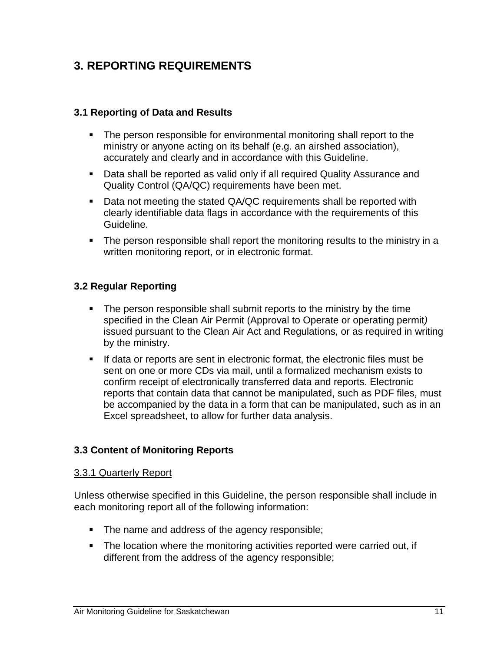# <span id="page-14-0"></span>**3. REPORTING REQUIREMENTS**

#### <span id="page-14-1"></span>**3.1 Reporting of Data and Results**

- **The person responsible for environmental monitoring shall report to the** ministry or anyone acting on its behalf (e.g. an airshed association), accurately and clearly and in accordance with this Guideline.
- Data shall be reported as valid only if all required Quality Assurance and Quality Control (QA/QC) requirements have been met.
- Data not meeting the stated QA/QC requirements shall be reported with clearly identifiable data flags in accordance with the requirements of this Guideline.
- The person responsible shall report the monitoring results to the ministry in a written monitoring report, or in electronic format.

#### <span id="page-14-2"></span>**3.2 Regular Reporting**

- The person responsible shall submit reports to the ministry by the time specified in the Clean Air Permit (Approval to Operate or operating permit*)* issued pursuant to the Clean Air Act and Regulations, or as required in writing by the ministry.
- If data or reports are sent in electronic format, the electronic files must be sent on one or more CDs via mail, until a formalized mechanism exists to confirm receipt of electronically transferred data and reports. Electronic reports that contain data that cannot be manipulated, such as PDF files, must be accompanied by the data in a form that can be manipulated, such as in an Excel spreadsheet, to allow for further data analysis.

#### <span id="page-14-3"></span>**3.3 Content of Monitoring Reports**

#### <span id="page-14-4"></span>3.3.1 Quarterly Report

Unless otherwise specified in this Guideline, the person responsible shall include in each monitoring report all of the following information:

- The name and address of the agency responsible;
- The location where the monitoring activities reported were carried out, if different from the address of the agency responsible;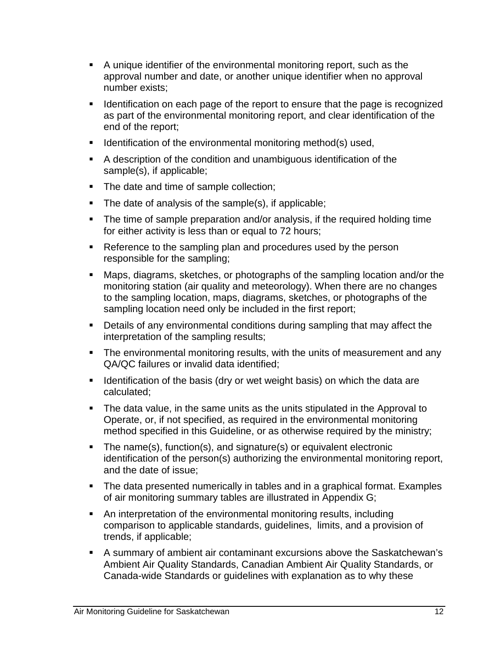- A unique identifier of the environmental monitoring report, such as the approval number and date, or another unique identifier when no approval number exists;
- **If Identification on each page of the report to ensure that the page is recognized** as part of the environmental monitoring report, and clear identification of the end of the report;
- $\blacksquare$  Identification of the environmental monitoring method(s) used,
- A description of the condition and unambiguous identification of the sample(s), if applicable;
- The date and time of sample collection:
- $\blacksquare$  The date of analysis of the sample(s), if applicable;
- The time of sample preparation and/or analysis, if the required holding time for either activity is less than or equal to 72 hours;
- Reference to the sampling plan and procedures used by the person responsible for the sampling;
- Maps, diagrams, sketches, or photographs of the sampling location and/or the monitoring station (air quality and meteorology). When there are no changes to the sampling location, maps, diagrams, sketches, or photographs of the sampling location need only be included in the first report;
- Details of any environmental conditions during sampling that may affect the interpretation of the sampling results;
- The environmental monitoring results, with the units of measurement and any QA/QC failures or invalid data identified;
- I dentification of the basis (dry or wet weight basis) on which the data are calculated;
- The data value, in the same units as the units stipulated in the Approval to Operate, or, if not specified, as required in the environmental monitoring method specified in this Guideline, or as otherwise required by the ministry;
- The name(s), function(s), and signature(s) or equivalent electronic identification of the person(s) authorizing the environmental monitoring report, and the date of issue;
- The data presented numerically in tables and in a graphical format. Examples of air monitoring summary tables are illustrated in Appendix G;
- An interpretation of the environmental monitoring results, including comparison to applicable standards, guidelines, limits, and a provision of trends, if applicable;
- A summary of ambient air contaminant excursions above the Saskatchewan's Ambient Air Quality Standards, Canadian Ambient Air Quality Standards, or Canada-wide Standards or guidelines with explanation as to why these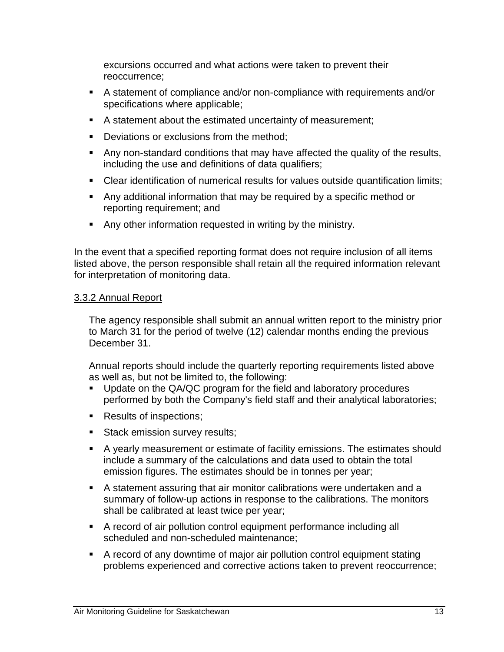excursions occurred and what actions were taken to prevent their reoccurrence;

- A statement of compliance and/or non-compliance with requirements and/or specifications where applicable;
- A statement about the estimated uncertainty of measurement;
- Deviations or exclusions from the method;
- Any non-standard conditions that may have affected the quality of the results, including the use and definitions of data qualifiers;
- Clear identification of numerical results for values outside quantification limits;
- Any additional information that may be required by a specific method or reporting requirement; and
- Any other information requested in writing by the ministry.

In the event that a specified reporting format does not require inclusion of all items listed above, the person responsible shall retain all the required information relevant for interpretation of monitoring data.

#### <span id="page-16-0"></span>3.3.2 Annual Report

The agency responsible shall submit an annual written report to the ministry prior to March 31 for the period of twelve (12) calendar months ending the previous December 31.

Annual reports should include the quarterly reporting requirements listed above as well as, but not be limited to, the following:

- Update on the QA/QC program for the field and laboratory procedures performed by both the Company's field staff and their analytical laboratories;
- Results of inspections;
- Stack emission survey results;
- A yearly measurement or estimate of facility emissions. The estimates should include a summary of the calculations and data used to obtain the total emission figures. The estimates should be in tonnes per year;
- A statement assuring that air monitor calibrations were undertaken and a summary of follow-up actions in response to the calibrations. The monitors shall be calibrated at least twice per year;
- A record of air pollution control equipment performance including all scheduled and non-scheduled maintenance;
- A record of any downtime of major air pollution control equipment stating problems experienced and corrective actions taken to prevent reoccurrence;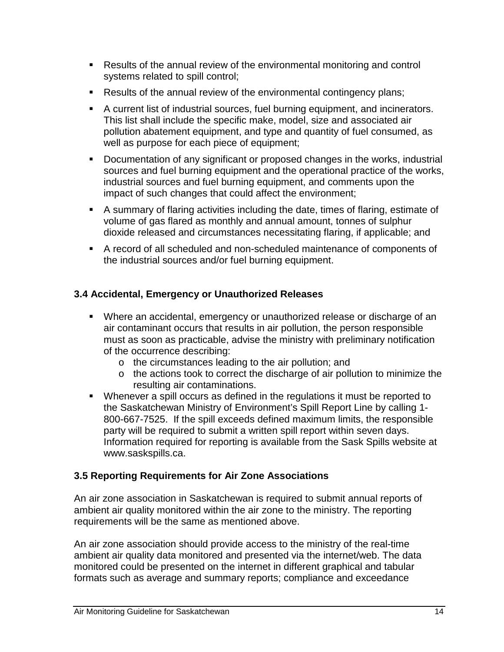- Results of the annual review of the environmental monitoring and control systems related to spill control;
- **Results of the annual review of the environmental contingency plans;**
- A current list of industrial sources, fuel burning equipment, and incinerators. This list shall include the specific make, model, size and associated air pollution abatement equipment, and type and quantity of fuel consumed, as well as purpose for each piece of equipment;
- Documentation of any significant or proposed changes in the works, industrial sources and fuel burning equipment and the operational practice of the works, industrial sources and fuel burning equipment, and comments upon the impact of such changes that could affect the environment;
- A summary of flaring activities including the date, times of flaring, estimate of volume of gas flared as monthly and annual amount, tonnes of sulphur dioxide released and circumstances necessitating flaring, if applicable; and
- A record of all scheduled and non-scheduled maintenance of components of the industrial sources and/or fuel burning equipment.

## <span id="page-17-0"></span>**3.4 Accidental, Emergency or Unauthorized Releases**

- Where an accidental, emergency or unauthorized release or discharge of an air contaminant occurs that results in air pollution, the person responsible must as soon as practicable, advise the ministry with preliminary notification of the occurrence describing:
	- o the circumstances leading to the air pollution; and
	- o the actions took to correct the discharge of air pollution to minimize the resulting air contaminations.
- Whenever a spill occurs as defined in the regulations it must be reported to the Saskatchewan Ministry of Environment's Spill Report Line by calling 1- 800-667-7525. If the spill exceeds defined maximum limits, the responsible party will be required to submit a written [spill report w](http://www.saskspills.ca/PDF/EPB347SpillReportForm.doc)ithin seven days. Information required for reporting is available from the Sask Spills website at www.saskspills.ca.

#### <span id="page-17-1"></span>**3.5 Reporting Requirements for Air Zone Associations**

An air zone association in Saskatchewan is required to submit annual reports of ambient air quality monitored within the air zone to the ministry. The reporting requirements will be the same as mentioned above.

An air zone association should provide access to the ministry of the real-time ambient air quality data monitored and presented via the internet/web. The data monitored could be presented on the internet in different graphical and tabular formats such as average and summary reports; compliance and exceedance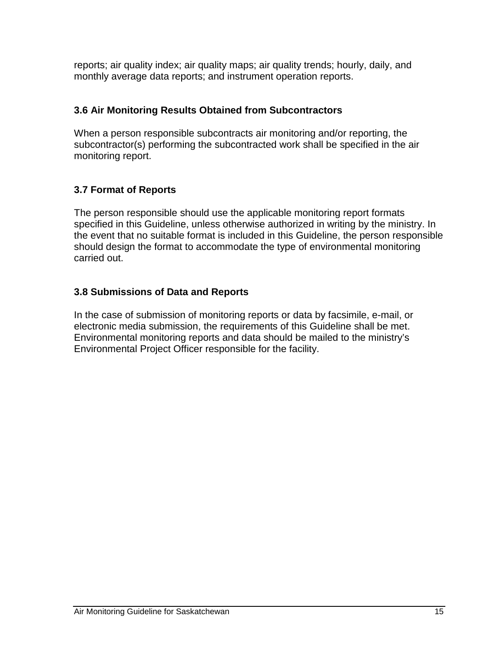reports; air quality index; air quality maps; air quality trends; hourly, daily, and monthly average data reports; and instrument operation reports.

#### <span id="page-18-0"></span>**3.6 Air Monitoring Results Obtained from Subcontractors**

When a person responsible subcontracts air monitoring and/or reporting, the subcontractor(s) performing the subcontracted work shall be specified in the air monitoring report.

# <span id="page-18-1"></span>**3.7 Format of Reports**

The person responsible should use the applicable monitoring report formats specified in this Guideline, unless otherwise authorized in writing by the ministry. In the event that no suitable format is included in this Guideline, the person responsible should design the format to accommodate the type of environmental monitoring carried out.

## <span id="page-18-2"></span>**3.8 Submissions of Data and Reports**

In the case of submission of monitoring reports or data by facsimile, e-mail, or electronic media submission, the requirements of this Guideline shall be met. Environmental monitoring reports and data should be mailed to the ministry's Environmental Project Officer responsible for the facility.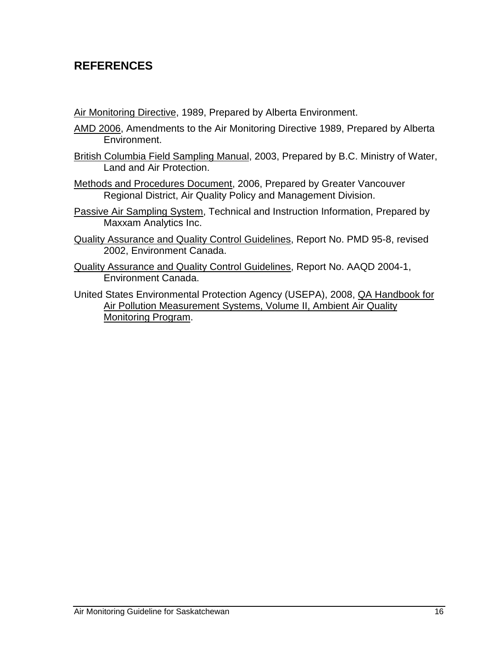# <span id="page-19-0"></span>**REFERENCES**

Air Monitoring Directive, 1989, Prepared by Alberta Environment.

- AMD 2006, Amendments to the Air Monitoring Directive 1989, Prepared by Alberta Environment.
- British Columbia Field Sampling Manual, 2003, Prepared by B.C. Ministry of Water, Land and Air Protection.
- Methods and Procedures Document, 2006, Prepared by Greater Vancouver Regional District, Air Quality Policy and Management Division.
- Passive Air Sampling System, Technical and Instruction Information, Prepared by Maxxam Analytics Inc.
- Quality Assurance and Quality Control Guidelines, Report No. PMD 95-8, revised 2002, Environment Canada.
- Quality Assurance and Quality Control Guidelines, Report No. AAQD 2004-1, Environment Canada.
- United States Environmental Protection Agency (USEPA), 2008, QA Handbook for Air Pollution Measurement Systems, Volume II, Ambient Air Quality Monitoring Program.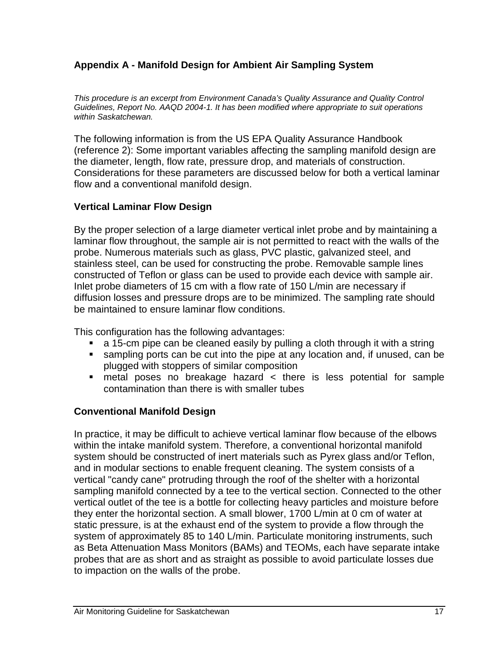#### <span id="page-20-0"></span>**Appendix A - Manifold Design for Ambient Air Sampling System**

*This procedure is an excerpt from Environment Canada's Quality Assurance and Quality Control Guidelines, Report No. AAQD 2004-1. It has been modified where appropriate to suit operations within Saskatchewan.*

The following information is from the US EPA Quality Assurance Handbook (reference 2): Some important variables affecting the sampling manifold design are the diameter, length, flow rate, pressure drop, and materials of construction. Considerations for these parameters are discussed below for both a vertical laminar flow and a conventional manifold design.

#### **Vertical Laminar Flow Design**

By the proper selection of a large diameter vertical inlet probe and by maintaining a laminar flow throughout, the sample air is not permitted to react with the walls of the probe. Numerous materials such as glass, PVC plastic, galvanized steel, and stainless steel, can be used for constructing the probe. Removable sample lines constructed of Teflon or glass can be used to provide each device with sample air. Inlet probe diameters of 15 cm with a flow rate of 150 L/min are necessary if diffusion losses and pressure drops are to be minimized. The sampling rate should be maintained to ensure laminar flow conditions.

This configuration has the following advantages:

- a 15-cm pipe can be cleaned easily by pulling a cloth through it with a string
- sampling ports can be cut into the pipe at any location and, if unused, can be plugged with stoppers of similar composition
- metal poses no breakage hazard < there is less potential for sample contamination than there is with smaller tubes

#### **Conventional Manifold Design**

In practice, it may be difficult to achieve vertical laminar flow because of the elbows within the intake manifold system. Therefore, a conventional horizontal manifold system should be constructed of inert materials such as Pyrex glass and/or Teflon, and in modular sections to enable frequent cleaning. The system consists of a vertical "candy cane" protruding through the roof of the shelter with a horizontal sampling manifold connected by a tee to the vertical section. Connected to the other vertical outlet of the tee is a bottle for collecting heavy particles and moisture before they enter the horizontal section. A small blower, 1700 L/min at 0 cm of water at static pressure, is at the exhaust end of the system to provide a flow through the system of approximately 85 to 140 L/min. Particulate monitoring instruments, such as Beta Attenuation Mass Monitors (BAMs) and TEOMs, each have separate intake probes that are as short and as straight as possible to avoid particulate losses due to impaction on the walls of the probe.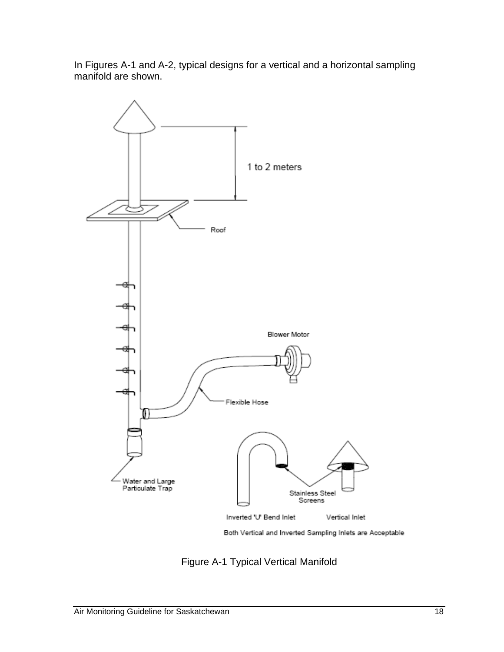In Figures A-1 and A-2, typical designs for a vertical and a horizontal sampling manifold are shown.



Figure A-1 Typical Vertical Manifold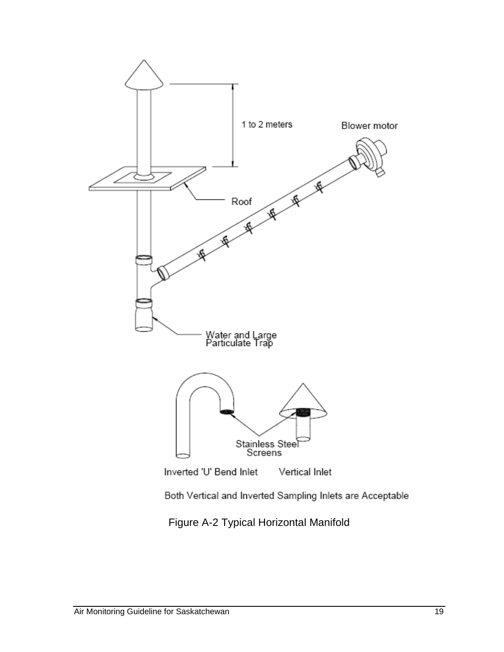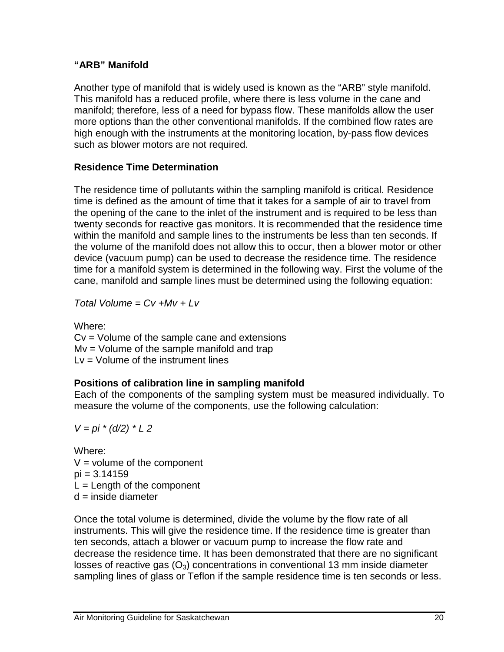#### **"ARB" Manifold**

Another type of manifold that is widely used is known as the "ARB" style manifold. This manifold has a reduced profile, where there is less volume in the cane and manifold; therefore, less of a need for bypass flow. These manifolds allow the user more options than the other conventional manifolds. If the combined flow rates are high enough with the instruments at the monitoring location, by-pass flow devices such as blower motors are not required.

#### **Residence Time Determination**

The residence time of pollutants within the sampling manifold is critical. Residence time is defined as the amount of time that it takes for a sample of air to travel from the opening of the cane to the inlet of the instrument and is required to be less than twenty seconds for reactive gas monitors. It is recommended that the residence time within the manifold and sample lines to the instruments be less than ten seconds. If the volume of the manifold does not allow this to occur, then a blower motor or other device (vacuum pump) can be used to decrease the residence time. The residence time for a manifold system is determined in the following way. First the volume of the cane, manifold and sample lines must be determined using the following equation:

*Total Volume = Cv +Mv + Lv* 

Where: Cv = Volume of the sample cane and extensions Mv = Volume of the sample manifold and trap  $Lv = Volume$  of the instrument lines

#### **Positions of calibration line in sampling manifold**

Each of the components of the sampling system must be measured individually. To measure the volume of the components, use the following calculation:

$$
V = pi * (d/2) * L 2
$$

Where:  $V =$  volume of the component  $pi = 3.14159$  $L =$  Length of the component  $d =$  inside diameter

Once the total volume is determined, divide the volume by the flow rate of all instruments. This will give the residence time. If the residence time is greater than ten seconds, attach a blower or vacuum pump to increase the flow rate and decrease the residence time. It has been demonstrated that there are no significant losses of reactive gas  $(O_3)$  concentrations in conventional 13 mm inside diameter sampling lines of glass or Teflon if the sample residence time is ten seconds or less.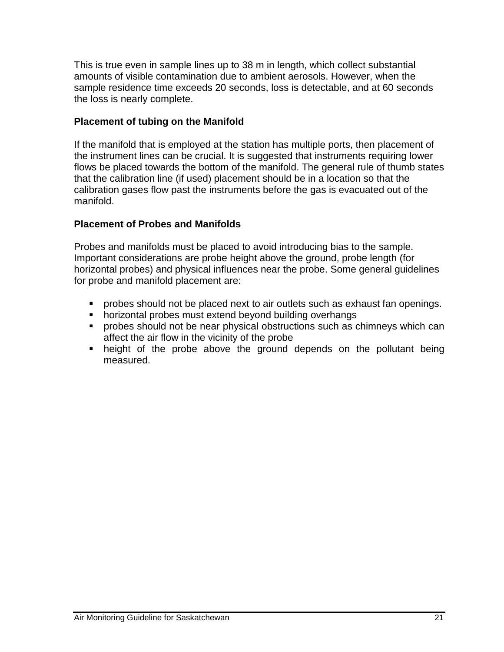This is true even in sample lines up to 38 m in length, which collect substantial amounts of visible contamination due to ambient aerosols. However, when the sample residence time exceeds 20 seconds, loss is detectable, and at 60 seconds the loss is nearly complete.

#### **Placement of tubing on the Manifold**

If the manifold that is employed at the station has multiple ports, then placement of the instrument lines can be crucial. It is suggested that instruments requiring lower flows be placed towards the bottom of the manifold. The general rule of thumb states that the calibration line (if used) placement should be in a location so that the calibration gases flow past the instruments before the gas is evacuated out of the manifold.

#### **Placement of Probes and Manifolds**

Probes and manifolds must be placed to avoid introducing bias to the sample. Important considerations are probe height above the ground, probe length (for horizontal probes) and physical influences near the probe. Some general guidelines for probe and manifold placement are:

- **Perobes should not be placed next to air outlets such as exhaust fan openings.**
- **•** horizontal probes must extend beyond building overhangs
- **•** probes should not be near physical obstructions such as chimneys which can affect the air flow in the vicinity of the probe
- height of the probe above the ground depends on the pollutant being measured.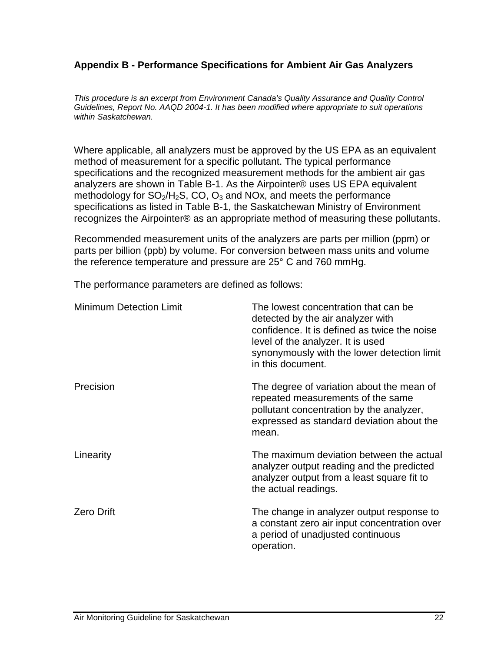#### <span id="page-25-0"></span>**Appendix B - Performance Specifications for Ambient Air Gas Analyzers**

*This procedure is an excerpt from Environment Canada's Quality Assurance and Quality Control Guidelines, Report No. AAQD 2004-1. It has been modified where appropriate to suit operations within Saskatchewan.*

Where applicable, all analyzers must be approved by the US EPA as an equivalent method of measurement for a specific pollutant. The typical performance specifications and the recognized measurement methods for the ambient air gas analyzers are shown in Table B-1. As the Airpointer® uses US EPA equivalent methodology for  $SO_2/H_2S$ , CO,  $O_3$  and NOx, and meets the performance specifications as listed in Table B-1, the Saskatchewan Ministry of Environment recognizes the Airpointer® as an appropriate method of measuring these pollutants.

Recommended measurement units of the analyzers are parts per million (ppm) or parts per billion (ppb) by volume. For conversion between mass units and volume the reference temperature and pressure are 25° C and 760 mmHg.

The performance parameters are defined as follows:

| <b>Minimum Detection Limit</b> | The lowest concentration that can be<br>detected by the air analyzer with<br>confidence. It is defined as twice the noise<br>level of the analyzer. It is used<br>synonymously with the lower detection limit<br>in this document. |
|--------------------------------|------------------------------------------------------------------------------------------------------------------------------------------------------------------------------------------------------------------------------------|
| Precision                      | The degree of variation about the mean of<br>repeated measurements of the same<br>pollutant concentration by the analyzer,<br>expressed as standard deviation about the<br>mean.                                                   |
| Linearity                      | The maximum deviation between the actual<br>analyzer output reading and the predicted<br>analyzer output from a least square fit to<br>the actual readings.                                                                        |
| <b>Zero Drift</b>              | The change in analyzer output response to<br>a constant zero air input concentration over<br>a period of unadjusted continuous<br>operation.                                                                                       |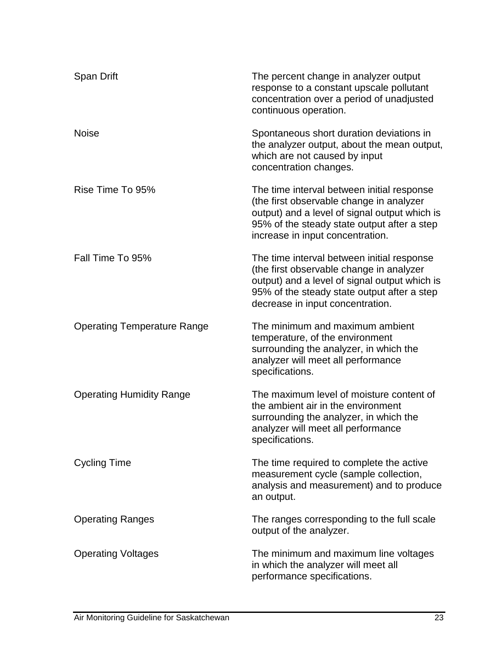| Span Drift                         | The percent change in analyzer output<br>response to a constant upscale pollutant<br>concentration over a period of unadjusted<br>continuous operation.                                                                    |
|------------------------------------|----------------------------------------------------------------------------------------------------------------------------------------------------------------------------------------------------------------------------|
| <b>Noise</b>                       | Spontaneous short duration deviations in<br>the analyzer output, about the mean output,<br>which are not caused by input<br>concentration changes.                                                                         |
| Rise Time To 95%                   | The time interval between initial response<br>(the first observable change in analyzer<br>output) and a level of signal output which is<br>95% of the steady state output after a step<br>increase in input concentration. |
| Fall Time To 95%                   | The time interval between initial response<br>(the first observable change in analyzer<br>output) and a level of signal output which is<br>95% of the steady state output after a step<br>decrease in input concentration. |
| <b>Operating Temperature Range</b> | The minimum and maximum ambient<br>temperature, of the environment<br>surrounding the analyzer, in which the<br>analyzer will meet all performance<br>specifications.                                                      |
| <b>Operating Humidity Range</b>    | The maximum level of moisture content of<br>the ambient air in the environment<br>surrounding the analyzer, in which the<br>analyzer will meet all performance<br>specifications.                                          |
| <b>Cycling Time</b>                | The time required to complete the active<br>measurement cycle (sample collection,<br>analysis and measurement) and to produce<br>an output.                                                                                |
| <b>Operating Ranges</b>            | The ranges corresponding to the full scale<br>output of the analyzer.                                                                                                                                                      |
| <b>Operating Voltages</b>          | The minimum and maximum line voltages<br>in which the analyzer will meet all<br>performance specifications.                                                                                                                |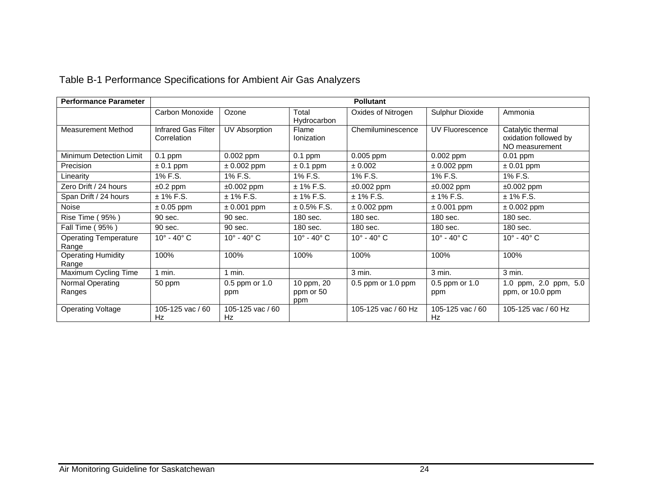| <b>Performance Parameter</b>          | <b>Pollutant</b>                   |                           |                                |                           |                           |                                                              |
|---------------------------------------|------------------------------------|---------------------------|--------------------------------|---------------------------|---------------------------|--------------------------------------------------------------|
|                                       | Carbon Monoxide                    | Ozone                     | Total<br>Hydrocarbon           | Oxides of Nitrogen        | Sulphur Dioxide           | Ammonia                                                      |
| <b>Measurement Method</b>             | Infrared Gas Filter<br>Correlation | <b>UV Absorption</b>      | Flame<br><b>Ionization</b>     | Chemiluminescence         | UV Fluorescence           | Catalytic thermal<br>oxidation followed by<br>NO measurement |
| Minimum Detection Limit               | $0.1$ ppm                          | 0.002 ppm                 | $0.1$ ppm                      | $0.005$ ppm               | $0.002$ ppm               | $0.01$ ppm                                                   |
| Precision                             | $\pm$ 0.1 ppm                      | $± 0.002$ ppm             | $\pm$ 0.1 ppm                  | ± 0.002                   | $± 0.002$ ppm             | $\pm 0.01$ ppm                                               |
| Linearity                             | 1% F.S.                            | 1% F.S.                   | 1% F.S.                        | 1% F.S.                   | 1% F.S.                   | 1% F.S.                                                      |
| Zero Drift / 24 hours                 | $±0.2$ ppm                         | $±0.002$ ppm              | $± 1\%$ F.S.                   | $±0.002$ ppm              | $±0.002$ ppm              | $±0.002$ ppm                                                 |
| Span Drift / 24 hours                 | $± 1\%$ F.S.                       | $± 1\%$ F.S.              | $± 1\%$ F.S.                   | $± 1\%$ F.S.              | $± 1\%$ F.S.              | $± 1\%$ F.S.                                                 |
| <b>Noise</b>                          | $\pm$ 0.05 ppm                     | $± 0.001$ ppm             | $± 0.5\%$ F.S.                 | $\pm$ 0.002 ppm           | $\pm$ 0.001 ppm           | $\pm$ 0.002 ppm                                              |
| Rise Time (95%)                       | 90 sec.                            | 90 sec.                   | 180 sec.                       | 180 sec.                  | 180 sec.                  | 180 sec.                                                     |
| Fall Time (95%)                       | 90 sec.                            | 90 sec.                   | 180 sec.                       | 180 sec.                  | 180 sec.                  | 180 sec.                                                     |
| <b>Operating Temperature</b><br>Range | $10^\circ$ - $40^\circ$ C          | $10^\circ$ - $40^\circ$ C | $10^\circ$ - $40^\circ$ C      | $10^\circ$ - $40^\circ$ C | $10^\circ$ - $40^\circ$ C | $10^\circ$ - $40^\circ$ C                                    |
| <b>Operating Humidity</b><br>Range    | 100%                               | 100%                      | 100%                           | 100%                      | 100%                      | 100%                                                         |
| Maximum Cycling Time                  | $1$ min.                           | $1$ min.                  |                                | $3$ min.                  | 3 min.                    | 3 min.                                                       |
| Normal Operating<br>Ranges            | 50 ppm                             | 0.5 ppm or 1.0<br>ppm     | 10 ppm, 20<br>ppm or 50<br>ppm | $0.5$ ppm or $1.0$ ppm    | 0.5 ppm or 1.0<br>ppm     | 1.0 ppm, 2.0 ppm, 5.0<br>ppm, or 10.0 ppm                    |
| <b>Operating Voltage</b>              | 105-125 vac / 60<br>Hz             | 105-125 vac / 60<br>Hz    |                                | 105-125 vac / 60 Hz       | 105-125 vac / 60<br>Hz    | 105-125 vac / 60 Hz                                          |

# Table B-1 Performance Specifications for Ambient Air Gas Analyzers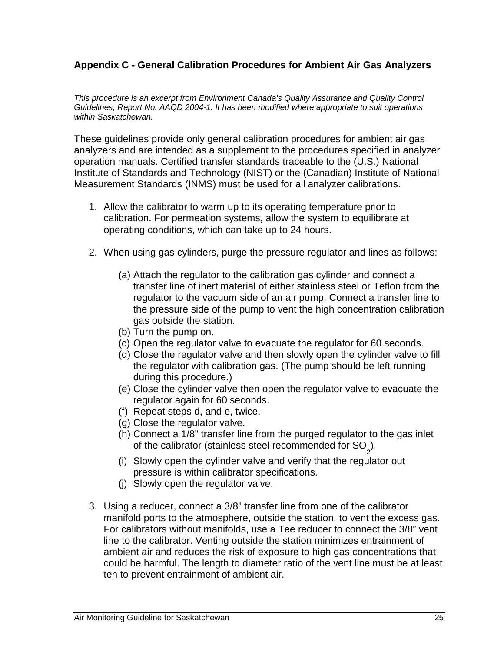#### <span id="page-28-0"></span>**Appendix C - General Calibration Procedures for Ambient Air Gas Analyzers**

*This procedure is an excerpt from Environment Canada's Quality Assurance and Quality Control Guidelines, Report No. AAQD 2004-1. It has been modified where appropriate to suit operations within Saskatchewan.*

These guidelines provide only general calibration procedures for ambient air gas analyzers and are intended as a supplement to the procedures specified in analyzer operation manuals. Certified transfer standards traceable to the (U.S.) National Institute of Standards and Technology (NIST) or the (Canadian) Institute of National Measurement Standards (INMS) must be used for all analyzer calibrations.

- 1. Allow the calibrator to warm up to its operating temperature prior to calibration. For permeation systems, allow the system to equilibrate at operating conditions, which can take up to 24 hours.
- 2. When using gas cylinders, purge the pressure regulator and lines as follows:
	- (a) Attach the regulator to the calibration gas cylinder and connect a transfer line of inert material of either stainless steel or Teflon from the regulator to the vacuum side of an air pump. Connect a transfer line to the pressure side of the pump to vent the high concentration calibration gas outside the station.
	- (b) Turn the pump on.
	- (c) Open the regulator valve to evacuate the regulator for 60 seconds.
	- (d) Close the regulator valve and then slowly open the cylinder valve to fill the regulator with calibration gas. (The pump should be left running during this procedure.)
	- (e) Close the cylinder valve then open the regulator valve to evacuate the regulator again for 60 seconds.
	- (f) Repeat steps d, and e, twice.
	- (g) Close the regulator valve.
	- (h) Connect a 1/8" transfer line from the purged regulator to the gas inlet of the calibrator (stainless steel recommended for SO<sub>2</sub>).
	- (i) Slowly open the cylinder valve and verify that the regulator out pressure is within calibrator specifications.
	- (j) Slowly open the regulator valve.
- 3. Using a reducer, connect a 3/8" transfer line from one of the calibrator manifold ports to the atmosphere, outside the station, to vent the excess gas. For calibrators without manifolds, use a Tee reducer to connect the 3/8" vent line to the calibrator. Venting outside the station minimizes entrainment of ambient air and reduces the risk of exposure to high gas concentrations that could be harmful. The length to diameter ratio of the vent line must be at least ten to prevent entrainment of ambient air.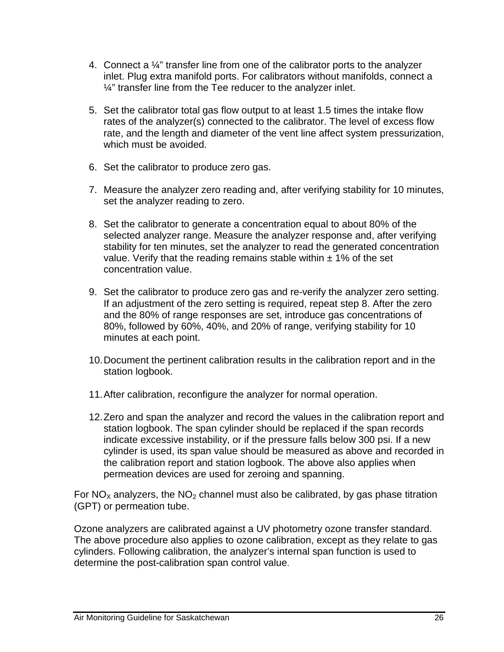- 4. Connect a ¼" transfer line from one of the calibrator ports to the analyzer inlet. Plug extra manifold ports. For calibrators without manifolds, connect a  $\frac{1}{4}$ " transfer line from the Tee reducer to the analyzer inlet.
- 5. Set the calibrator total gas flow output to at least 1.5 times the intake flow rates of the analyzer(s) connected to the calibrator. The level of excess flow rate, and the length and diameter of the vent line affect system pressurization, which must be avoided.
- 6. Set the calibrator to produce zero gas.
- 7. Measure the analyzer zero reading and, after verifying stability for 10 minutes, set the analyzer reading to zero.
- 8. Set the calibrator to generate a concentration equal to about 80% of the selected analyzer range. Measure the analyzer response and, after verifying stability for ten minutes, set the analyzer to read the generated concentration value. Verify that the reading remains stable within  $\pm$  1% of the set concentration value.
- 9. Set the calibrator to produce zero gas and re-verify the analyzer zero setting. If an adjustment of the zero setting is required, repeat step 8. After the zero and the 80% of range responses are set, introduce gas concentrations of 80%, followed by 60%, 40%, and 20% of range, verifying stability for 10 minutes at each point.
- 10.Document the pertinent calibration results in the calibration report and in the station logbook.
- 11.After calibration, reconfigure the analyzer for normal operation.
- 12.Zero and span the analyzer and record the values in the calibration report and station logbook. The span cylinder should be replaced if the span records indicate excessive instability, or if the pressure falls below 300 psi. If a new cylinder is used, its span value should be measured as above and recorded in the calibration report and station logbook. The above also applies when permeation devices are used for zeroing and spanning.

For  $NO<sub>x</sub>$  analyzers, the  $NO<sub>2</sub>$  channel must also be calibrated, by gas phase titration (GPT) or permeation tube.

Ozone analyzers are calibrated against a UV photometry ozone transfer standard. The above procedure also applies to ozone calibration, except as they relate to gas cylinders. Following calibration, the analyzer's internal span function is used to determine the post-calibration span control value.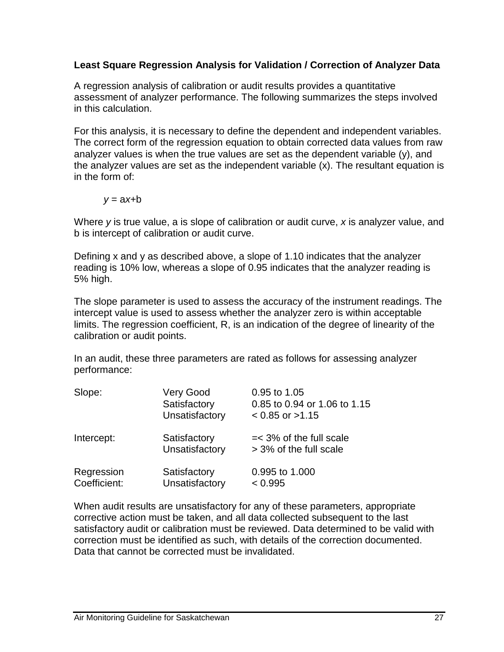#### **Least Square Regression Analysis for Validation / Correction of Analyzer Data**

A regression analysis of calibration or audit results provides a quantitative assessment of analyzer performance. The following summarizes the steps involved in this calculation.

For this analysis, it is necessary to define the dependent and independent variables. The correct form of the regression equation to obtain corrected data values from raw analyzer values is when the true values are set as the dependent variable (y), and the analyzer values are set as the independent variable (x). The resultant equation is in the form of:

 $v = ax + b$ 

Where *y* is true value, a is slope of calibration or audit curve, *x* is analyzer value, and b is intercept of calibration or audit curve.

Defining x and y as described above, a slope of 1.10 indicates that the analyzer reading is 10% low, whereas a slope of 0.95 indicates that the analyzer reading is 5% high.

The slope parameter is used to assess the accuracy of the instrument readings. The intercept value is used to assess whether the analyzer zero is within acceptable limits. The regression coefficient, R, is an indication of the degree of linearity of the calibration or audit points.

In an audit, these three parameters are rated as follows for assessing analyzer performance:

| Slope:                     | Very Good<br>Satisfactory<br>Unsatisfactory | 0.95 to 1.05<br>0.85 to 0.94 or 1.06 to 1.15<br>$< 0.85$ or $>1.15$ |
|----------------------------|---------------------------------------------|---------------------------------------------------------------------|
| Intercept:                 | Satisfactory<br>Unsatisfactory              | $=<$ 3% of the full scale<br>> 3% of the full scale                 |
| Regression<br>Coefficient: | Satisfactory<br>Unsatisfactory              | 0.995 to 1.000<br>< 0.995                                           |

When audit results are unsatisfactory for any of these parameters, appropriate corrective action must be taken, and all data collected subsequent to the last satisfactory audit or calibration must be reviewed. Data determined to be valid with correction must be identified as such, with details of the correction documented. Data that cannot be corrected must be invalidated.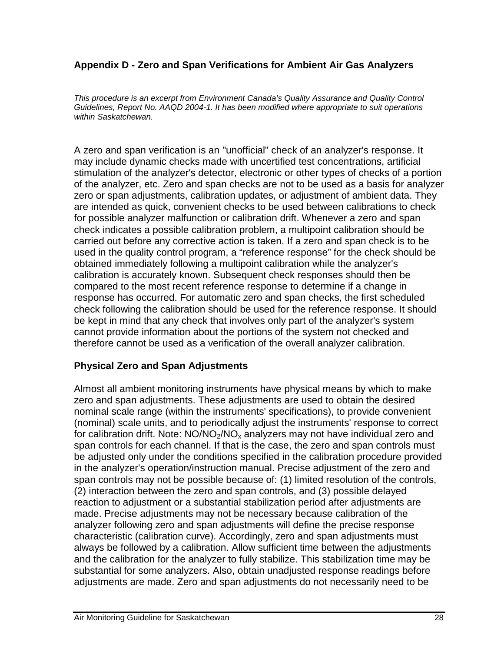#### <span id="page-31-0"></span>**Appendix D - Zero and Span Verifications for Ambient Air Gas Analyzers**

*This procedure is an excerpt from Environment Canada's Quality Assurance and Quality Control Guidelines, Report No. AAQD 2004-1. It has been modified where appropriate to suit operations within Saskatchewan.*

A zero and span verification is an ''unofficial" check of an analyzer's response. It may include dynamic checks made with uncertified test concentrations, artificial stimulation of the analyzer's detector, electronic or other types of checks of a portion of the analyzer, etc. Zero and span checks are not to be used as a basis for analyzer zero or span adjustments, calibration updates, or adjustment of ambient data. They are intended as quick, convenient checks to be used between calibrations to check for possible analyzer malfunction or calibration drift. Whenever a zero and span check indicates a possible calibration problem, a multipoint calibration should be carried out before any corrective action is taken. If a zero and span check is to be used in the quality control program, a "reference response" for the check should be obtained immediately following a multipoint calibration while the analyzer's calibration is accurately known. Subsequent check responses should then be compared to the most recent reference response to determine if a change in response has occurred. For automatic zero and span checks, the first scheduled check following the calibration should be used for the reference response. It should be kept in mind that any check that involves only part of the analyzer's system cannot provide information about the portions of the system not checked and therefore cannot be used as a verification of the overall analyzer calibration.

#### **Physical Zero and Span Adjustments**

Almost all ambient monitoring instruments have physical means by which to make zero and span adjustments. These adjustments are used to obtain the desired nominal scale range (within the instruments' specifications), to provide convenient (nominal) scale units, and to periodically adjust the instruments' response to correct for calibration drift. Note:  $NO/NO<sub>2</sub>/NO<sub>x</sub>$  analyzers may not have individual zero and span controls for each channel. If that is the case, the zero and span controls must be adjusted only under the conditions specified in the calibration procedure provided in the analyzer's operation/instruction manual. Precise adjustment of the zero and span controls may not be possible because of: (1) limited resolution of the controls, (2) interaction between the zero and span controls, and (3) possible delayed reaction to adjustment or a substantial stabilization period after adjustments are made. Precise adjustments may not be necessary because calibration of the analyzer following zero and span adjustments will define the precise response characteristic (calibration curve). Accordingly, zero and span adjustments must always be followed by a calibration. Allow sufficient time between the adjustments and the calibration for the analyzer to fully stabilize. This stabilization time may be substantial for some analyzers. Also, obtain unadjusted response readings before adjustments are made. Zero and span adjustments do not necessarily need to be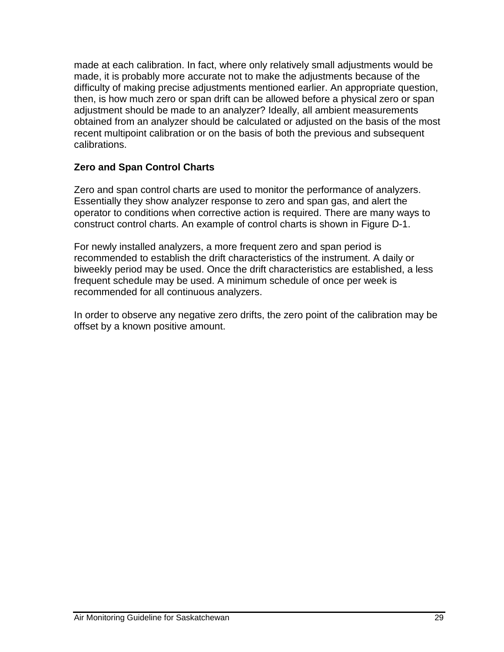made at each calibration. In fact, where only relatively small adjustments would be made, it is probably more accurate not to make the adjustments because of the difficulty of making precise adjustments mentioned earlier. An appropriate question, then, is how much zero or span drift can be allowed before a physical zero or span adjustment should be made to an analyzer? Ideally, all ambient measurements obtained from an analyzer should be calculated or adjusted on the basis of the most recent multipoint calibration or on the basis of both the previous and subsequent calibrations.

#### **Zero and Span Control Charts**

Zero and span control charts are used to monitor the performance of analyzers. Essentially they show analyzer response to zero and span gas, and alert the operator to conditions when corrective action is required. There are many ways to construct control charts. An example of control charts is shown in Figure D-1.

For newly installed analyzers, a more frequent zero and span period is recommended to establish the drift characteristics of the instrument. A daily or biweekly period may be used. Once the drift characteristics are established, a less frequent schedule may be used. A minimum schedule of once per week is recommended for all continuous analyzers.

In order to observe any negative zero drifts, the zero point of the calibration may be offset by a known positive amount.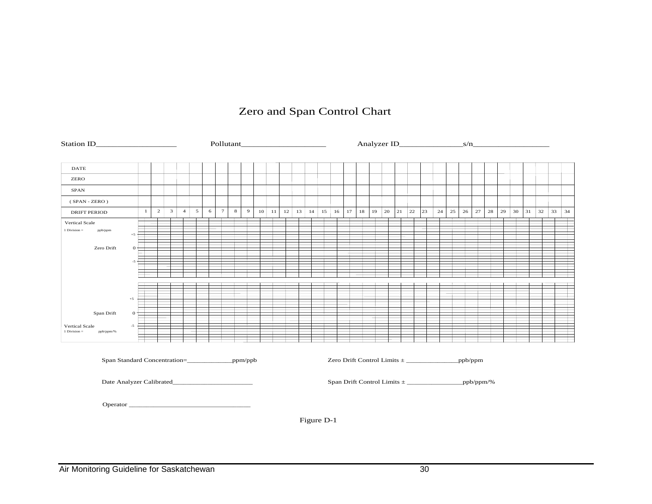#### Zero and Span Control Chart

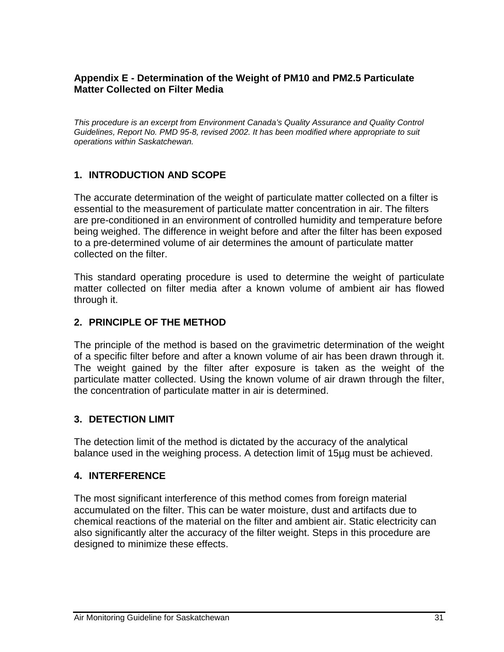#### <span id="page-34-0"></span>**Appendix E - Determination of the Weight of PM10 and PM2.5 Particulate Matter Collected on Filter Media**

*This procedure is an excerpt from Environment Canada's Quality Assurance and Quality Control Guidelines, Report No. PMD 95-8, revised 2002. It has been modified where appropriate to suit operations within Saskatchewan.*

#### **1. INTRODUCTION AND SCOPE**

The accurate determination of the weight of particulate matter collected on a filter is essential to the measurement of particulate matter concentration in air. The filters are pre-conditioned in an environment of controlled humidity and temperature before being weighed. The difference in weight before and after the filter has been exposed to a pre-determined volume of air determines the amount of particulate matter collected on the filter.

This standard operating procedure is used to determine the weight of particulate matter collected on filter media after a known volume of ambient air has flowed through it.

#### **2. PRINCIPLE OF THE METHOD**

The principle of the method is based on the gravimetric determination of the weight of a specific filter before and after a known volume of air has been drawn through it. The weight gained by the filter after exposure is taken as the weight of the particulate matter collected. Using the known volume of air drawn through the filter, the concentration of particulate matter in air is determined.

#### **3. DETECTION LIMIT**

The detection limit of the method is dictated by the accuracy of the analytical balance used in the weighing process. A detection limit of 15µg must be achieved.

#### **4. INTERFERENCE**

The most significant interference of this method comes from foreign material accumulated on the filter. This can be water moisture, dust and artifacts due to chemical reactions of the material on the filter and ambient air. Static electricity can also significantly alter the accuracy of the filter weight. Steps in this procedure are designed to minimize these effects.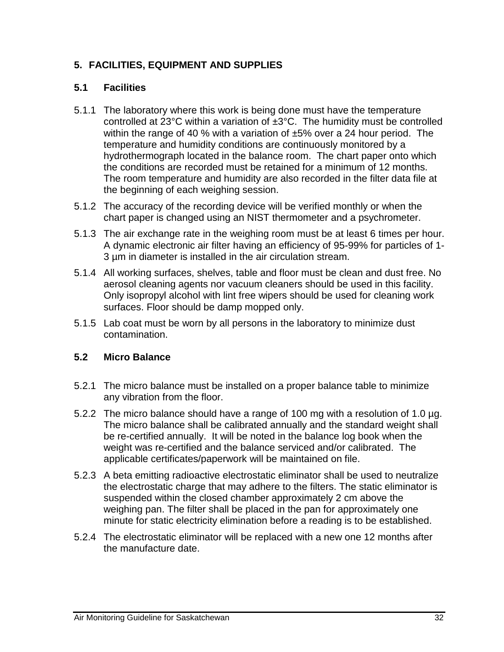#### **5. FACILITIES, EQUIPMENT AND SUPPLIES**

#### **5.1 Facilities**

- 5.1.1 The laboratory where this work is being done must have the temperature controlled at 23°C within a variation of ±3°C. The humidity must be controlled within the range of 40 % with a variation of  $\pm 5$ % over a 24 hour period. The temperature and humidity conditions are continuously monitored by a hydrothermograph located in the balance room. The chart paper onto which the conditions are recorded must be retained for a minimum of 12 months. The room temperature and humidity are also recorded in the filter data file at the beginning of each weighing session.
- 5.1.2 The accuracy of the recording device will be verified monthly or when the chart paper is changed using an NIST thermometer and a psychrometer.
- 5.1.3 The air exchange rate in the weighing room must be at least 6 times per hour. A dynamic electronic air filter having an efficiency of 95-99% for particles of 1- 3 µm in diameter is installed in the air circulation stream.
- 5.1.4 All working surfaces, shelves, table and floor must be clean and dust free. No aerosol cleaning agents nor vacuum cleaners should be used in this facility. Only isopropyl alcohol with lint free wipers should be used for cleaning work surfaces. Floor should be damp mopped only.
- 5.1.5 Lab coat must be worn by all persons in the laboratory to minimize dust contamination.

#### **5.2 Micro Balance**

- 5.2.1 The micro balance must be installed on a proper balance table to minimize any vibration from the floor.
- 5.2.2 The micro balance should have a range of 100 mg with a resolution of 1.0 µg. The micro balance shall be calibrated annually and the standard weight shall be re-certified annually. It will be noted in the balance log book when the weight was re-certified and the balance serviced and/or calibrated. The applicable certificates/paperwork will be maintained on file.
- 5.2.3 A beta emitting radioactive electrostatic eliminator shall be used to neutralize the electrostatic charge that may adhere to the filters. The static eliminator is suspended within the closed chamber approximately 2 cm above the weighing pan. The filter shall be placed in the pan for approximately one minute for static electricity elimination before a reading is to be established.
- 5.2.4 The electrostatic eliminator will be replaced with a new one 12 months after the manufacture date.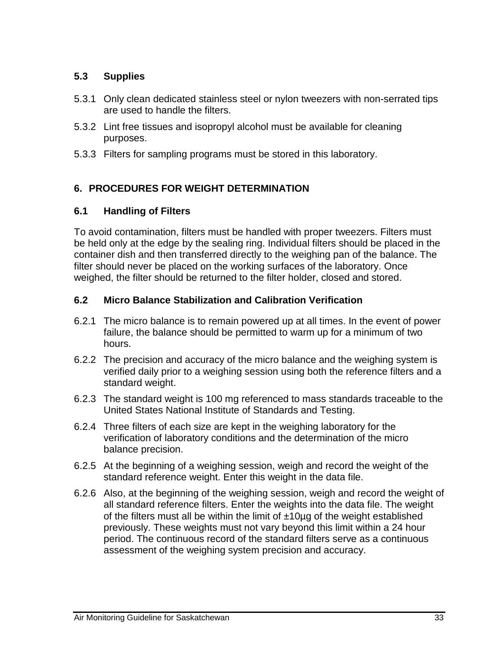#### **5.3 Supplies**

- 5.3.1 Only clean dedicated stainless steel or nylon tweezers with non-serrated tips are used to handle the filters.
- 5.3.2 Lint free tissues and isopropyl alcohol must be available for cleaning purposes.
- 5.3.3 Filters for sampling programs must be stored in this laboratory.

#### **6. PROCEDURES FOR WEIGHT DETERMINATION**

#### **6.1 Handling of Filters**

To avoid contamination, filters must be handled with proper tweezers. Filters must be held only at the edge by the sealing ring. Individual filters should be placed in the container dish and then transferred directly to the weighing pan of the balance. The filter should never be placed on the working surfaces of the laboratory. Once weighed, the filter should be returned to the filter holder, closed and stored.

#### **6.2 Micro Balance Stabilization and Calibration Verification**

- 6.2.1 The micro balance is to remain powered up at all times. In the event of power failure, the balance should be permitted to warm up for a minimum of two hours.
- 6.2.2 The precision and accuracy of the micro balance and the weighing system is verified daily prior to a weighing session using both the reference filters and a standard weight.
- 6.2.3 The standard weight is 100 mg referenced to mass standards traceable to the United States National Institute of Standards and Testing.
- 6.2.4 Three filters of each size are kept in the weighing laboratory for the verification of laboratory conditions and the determination of the micro balance precision.
- 6.2.5 At the beginning of a weighing session, weigh and record the weight of the standard reference weight. Enter this weight in the data file.
- 6.2.6 Also, at the beginning of the weighing session, weigh and record the weight of all standard reference filters. Enter the weights into the data file. The weight of the filters must all be within the limit of  $\pm 10\mu$ g of the weight established previously. These weights must not vary beyond this limit within a 24 hour period. The continuous record of the standard filters serve as a continuous assessment of the weighing system precision and accuracy.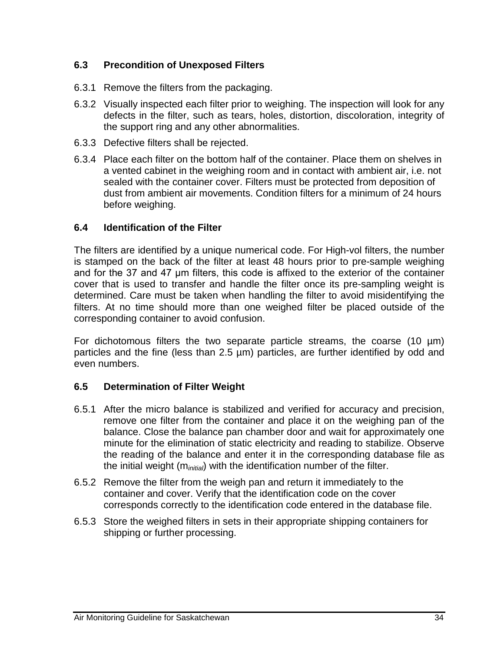#### **6.3 Precondition of Unexposed Filters**

- 6.3.1 Remove the filters from the packaging.
- 6.3.2 Visually inspected each filter prior to weighing. The inspection will look for any defects in the filter, such as tears, holes, distortion, discoloration, integrity of the support ring and any other abnormalities.
- 6.3.3 Defective filters shall be rejected.
- 6.3.4 Place each filter on the bottom half of the container. Place them on shelves in a vented cabinet in the weighing room and in contact with ambient air, i.e. not sealed with the container cover. Filters must be protected from deposition of dust from ambient air movements. Condition filters for a minimum of 24 hours before weighing.

#### **6.4 Identification of the Filter**

The filters are identified by a unique numerical code. For High-vol filters, the number is stamped on the back of the filter at least 48 hours prior to pre-sample weighing and for the 37 and 47 μm filters, this code is affixed to the exterior of the container cover that is used to transfer and handle the filter once its pre-sampling weight is determined. Care must be taken when handling the filter to avoid misidentifying the filters. At no time should more than one weighed filter be placed outside of the corresponding container to avoid confusion.

For dichotomous filters the two separate particle streams, the coarse (10 µm) particles and the fine (less than 2.5 µm) particles, are further identified by odd and even numbers.

#### **6.5 Determination of Filter Weight**

- 6.5.1 After the micro balance is stabilized and verified for accuracy and precision, remove one filter from the container and place it on the weighing pan of the balance. Close the balance pan chamber door and wait for approximately one minute for the elimination of static electricity and reading to stabilize. Observe the reading of the balance and enter it in the corresponding database file as the initial weight (m*initial*) with the identification number of the filter.
- 6.5.2 Remove the filter from the weigh pan and return it immediately to the container and cover. Verify that the identification code on the cover corresponds correctly to the identification code entered in the database file.
- 6.5.3 Store the weighed filters in sets in their appropriate shipping containers for shipping or further processing.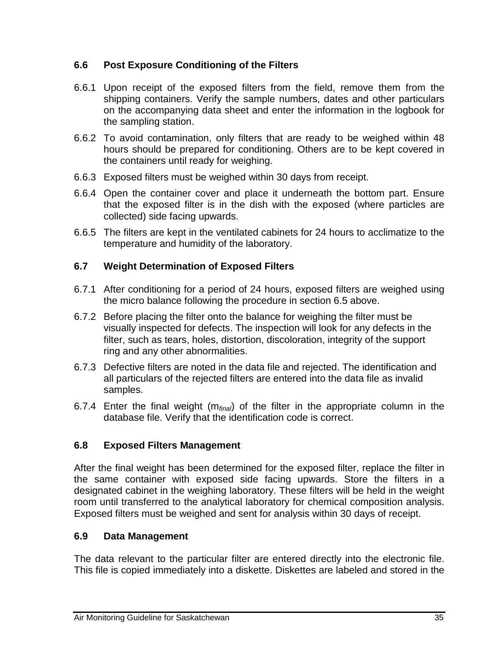#### **6.6 Post Exposure Conditioning of the Filters**

- 6.6.1 Upon receipt of the exposed filters from the field, remove them from the shipping containers. Verify the sample numbers, dates and other particulars on the accompanying data sheet and enter the information in the logbook for the sampling station.
- 6.6.2 To avoid contamination, only filters that are ready to be weighed within 48 hours should be prepared for conditioning. Others are to be kept covered in the containers until ready for weighing.
- 6.6.3 Exposed filters must be weighed within 30 days from receipt.
- 6.6.4 Open the container cover and place it underneath the bottom part. Ensure that the exposed filter is in the dish with the exposed (where particles are collected) side facing upwards.
- 6.6.5 The filters are kept in the ventilated cabinets for 24 hours to acclimatize to the temperature and humidity of the laboratory.

#### **6.7 Weight Determination of Exposed Filters**

- 6.7.1 After conditioning for a period of 24 hours, exposed filters are weighed using the micro balance following the procedure in section 6.5 above.
- 6.7.2 Before placing the filter onto the balance for weighing the filter must be visually inspected for defects. The inspection will look for any defects in the filter, such as tears, holes, distortion, discoloration, integrity of the support ring and any other abnormalities.
- 6.7.3 Defective filters are noted in the data file and rejected. The identification and all particulars of the rejected filters are entered into the data file as invalid samples.
- 6.7.4 Enter the final weight (m*final*) of the filter in the appropriate column in the database file. Verify that the identification code is correct.

#### **6.8 Exposed Filters Management**

After the final weight has been determined for the exposed filter, replace the filter in the same container with exposed side facing upwards. Store the filters in a designated cabinet in the weighing laboratory. These filters will be held in the weight room until transferred to the analytical laboratory for chemical composition analysis. Exposed filters must be weighed and sent for analysis within 30 days of receipt.

#### **6.9 Data Management**

The data relevant to the particular filter are entered directly into the electronic file. This file is copied immediately into a diskette. Diskettes are labeled and stored in the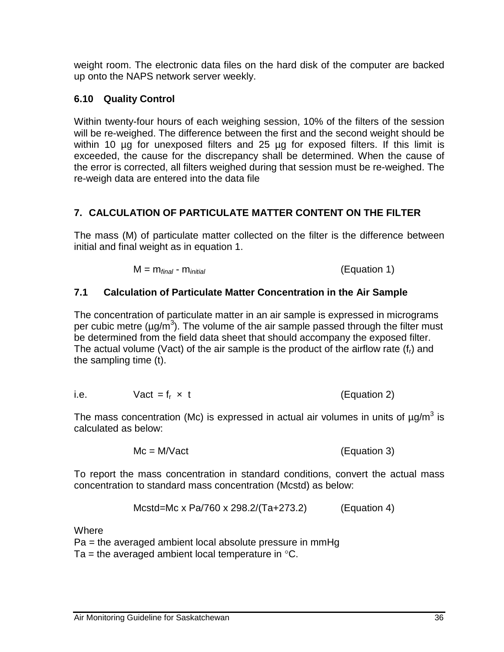weight room. The electronic data files on the hard disk of the computer are backed up onto the NAPS network server weekly.

### **6.10 Quality Control**

Within twenty-four hours of each weighing session, 10% of the filters of the session will be re-weighed. The difference between the first and the second weight should be within 10 µg for unexposed filters and 25 µg for exposed filters. If this limit is exceeded, the cause for the discrepancy shall be determined. When the cause of the error is corrected, all filters weighed during that session must be re-weighed. The re-weigh data are entered into the data file

# **7. CALCULATION OF PARTICULATE MATTER CONTENT ON THE FILTER**

The mass (M) of particulate matter collected on the filter is the difference between initial and final weight as in equation 1.

$$
M = m_{final} - m_{initial}
$$
 (Equation 1)

#### **7.1 Calculation of Particulate Matter Concentration in the Air Sample**

The concentration of particulate matter in an air sample is expressed in micrograms per cubic metre ( $\mu$ g/m<sup>3</sup>). The volume of the air sample passed through the filter must be determined from the field data sheet that should accompany the exposed filter. The actual volume (Vact) of the air sample is the product of the airflow rate  $(f<sub>r</sub>)$  and the sampling time (t).

i.e. 
$$
Var = f_r \times t
$$
 (Equation 2)

The mass concentration (Mc) is expressed in actual air volumes in units of  $\mu q/m^3$  is calculated as below:

$$
Mc = M/Vact
$$
 (Equation 3)

To report the mass concentration in standard conditions, convert the actual mass concentration to standard mass concentration (Mcstd) as below:

$$
Mcstd = Mc \times Pa/760 \times 298.2 / (Ta + 273.2)
$$
 (Equation 4)

**Where** 

 $Pa = the averaged ambient local absolute pressure in mmHg$ 

Ta = the averaged ambient local temperature in  $\degree$ C.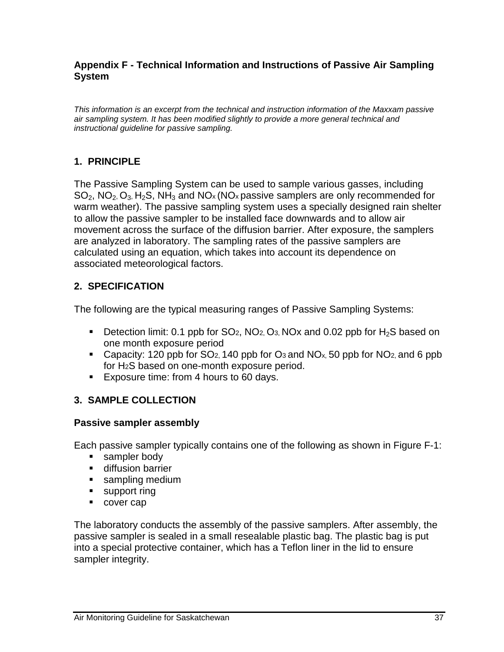#### <span id="page-40-0"></span>**Appendix F - Technical Information and Instructions of Passive Air Sampling System**

*This information is an excerpt from the technical and instruction information of the Maxxam passive air sampling system. It has been modified slightly to provide a more general technical and instructional guideline for passive sampling.*

#### **1. PRINCIPLE**

The Passive Sampling System can be used to sample various gasses, including  $SO_2$ , NO<sub>2</sub>, O<sub>3</sub>, H<sub>2</sub>S, NH<sub>3</sub> and NO<sub>x</sub> (NO<sub>x</sub> passive samplers are only recommended for warm weather). The passive sampling system uses a specially designed rain shelter to allow the passive sampler to be installed face downwards and to allow air movement across the surface of the diffusion barrier. After exposure, the samplers are analyzed in laboratory. The sampling rates of the passive samplers are calculated using an equation, which takes into account its dependence on associated meteorological factors.

#### **2. SPECIFICATION**

The following are the typical measuring ranges of Passive Sampling Systems:

- Detection limit: 0.1 ppb for  $SO_2$ ,  $NO_2$ ,  $O_3$ ,  $NOx$  and 0.02 ppb for  $H_2S$  based on one month exposure period
- Capacity: 120 ppb for  $SO<sub>2</sub>$ , 140 ppb for  $O<sub>3</sub>$  and  $NO<sub>x</sub>$ , 50 ppb for  $NO<sub>2</sub>$ , and 6 ppb for H2S based on one-month exposure period.
- **Exposure time: from 4 hours to 60 days.**

#### **3. SAMPLE COLLECTION**

#### **Passive sampler assembly**

Each passive sampler typically contains one of the following as shown in Figure F-1:

- **sampler body**
- **diffusion barrier**
- **sampling medium**
- **support ring**
- cover cap

The laboratory conducts the assembly of the passive samplers. After assembly, the passive sampler is sealed in a small resealable plastic bag. The plastic bag is put into a special protective container, which has a Teflon liner in the lid to ensure sampler integrity.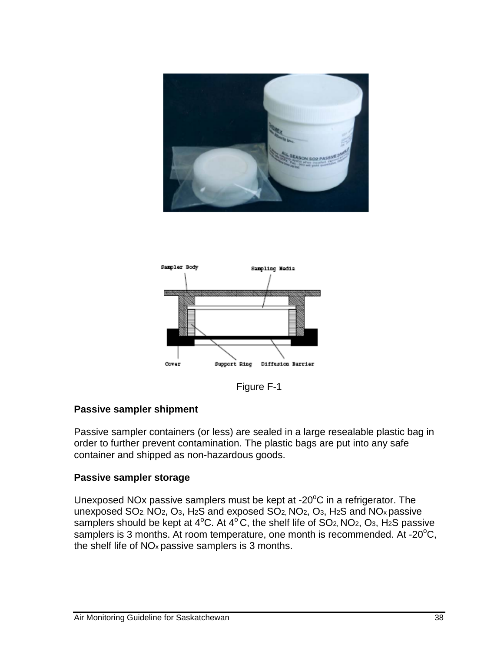



Figure F-1

#### **Passive sampler shipment**

Passive sampler containers (or less) are sealed in a large resealable plastic bag in order to further prevent contamination. The plastic bags are put into any safe container and shipped as non-hazardous goods.

#### **Passive sampler storage**

Unexposed NOx passive samplers must be kept at -20 $\mathrm{^oC}$  in a refrigerator. The unexposed SO2, NO2, O3, H2S and exposed SO2, NO2, O3, H2S and NOx passive samplers should be kept at  $4^{\circ}$ C. At  $4^{\circ}$ C, the shelf life of SO<sub>2</sub>, NO<sub>2</sub>, O<sub>3</sub>, H<sub>2</sub>S passive samplers is 3 months. At room temperature, one month is recommended. At -20 $\mathrm{^{\circ}C}$ , the shelf life of NOx passive samplers is 3 months.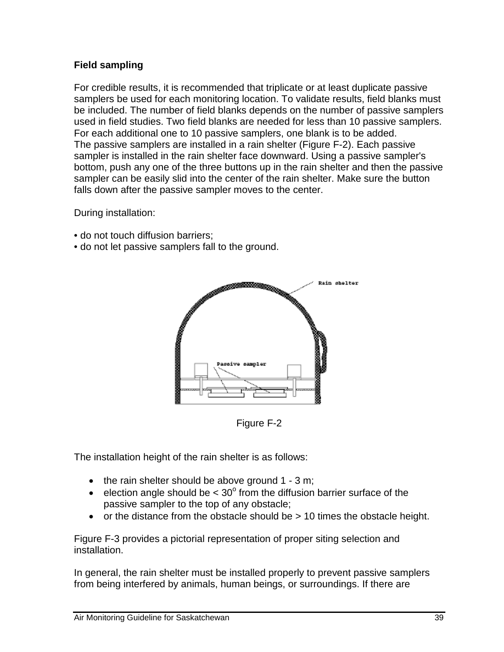#### **Field sampling**

For credible results, it is recommended that triplicate or at least duplicate passive samplers be used for each monitoring location. To validate results, field blanks must be included. The number of field blanks depends on the number of passive samplers used in field studies. Two field blanks are needed for less than 10 passive samplers. For each additional one to 10 passive samplers, one blank is to be added. The passive samplers are installed in a rain shelter (Figure F-2). Each passive sampler is installed in the rain shelter face downward. Using a passive sampler's bottom, push any one of the three buttons up in the rain shelter and then the passive sampler can be easily slid into the center of the rain shelter. Make sure the button falls down after the passive sampler moves to the center.

During installation:

- do not touch diffusion barriers;
- do not let passive samplers fall to the ground.



Figure F-2

The installation height of the rain shelter is as follows:

- $\bullet$  the rain shelter should be above ground 1 3 m;
- election angle should be  $< 30^{\circ}$  from the diffusion barrier surface of the passive sampler to the top of any obstacle;
- or the distance from the obstacle should be > 10 times the obstacle height.

Figure F-3 provides a pictorial representation of proper siting selection and installation.

In general, the rain shelter must be installed properly to prevent passive samplers from being interfered by animals, human beings, or surroundings. If there are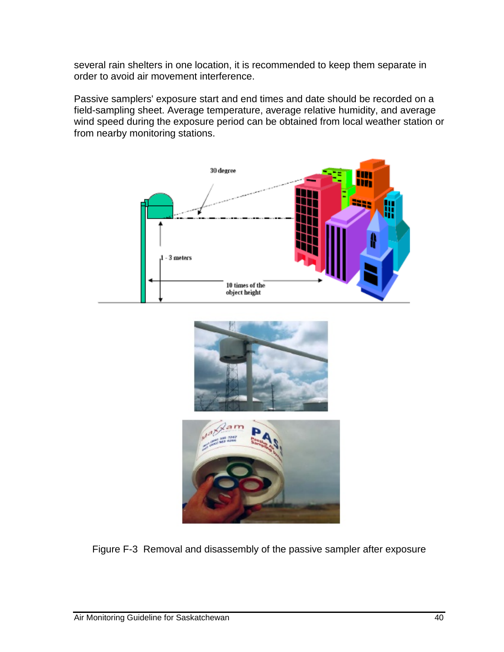several rain shelters in one location, it is recommended to keep them separate in order to avoid air movement interference.

Passive samplers' exposure start and end times and date should be recorded on a field-sampling sheet. Average temperature, average relative humidity, and average wind speed during the exposure period can be obtained from local weather station or from nearby monitoring stations.







Figure F-3 Removal and disassembly of the passive sampler after exposure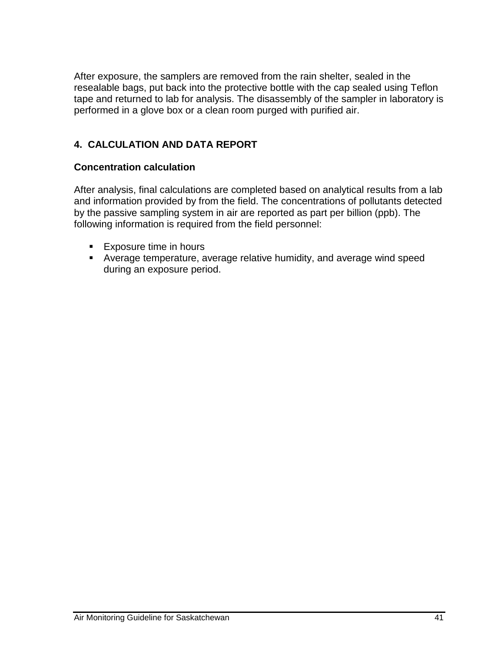After exposure, the samplers are removed from the rain shelter, sealed in the resealable bags, put back into the protective bottle with the cap sealed using Teflon tape and returned to lab for analysis. The disassembly of the sampler in laboratory is performed in a glove box or a clean room purged with purified air.

## **4. CALCULATION AND DATA REPORT**

#### **Concentration calculation**

After analysis, final calculations are completed based on analytical results from a lab and information provided by from the field. The concentrations of pollutants detected by the passive sampling system in air are reported as part per billion (ppb). The following information is required from the field personnel:

- **Exposure time in hours**
- Average temperature, average relative humidity, and average wind speed during an exposure period.